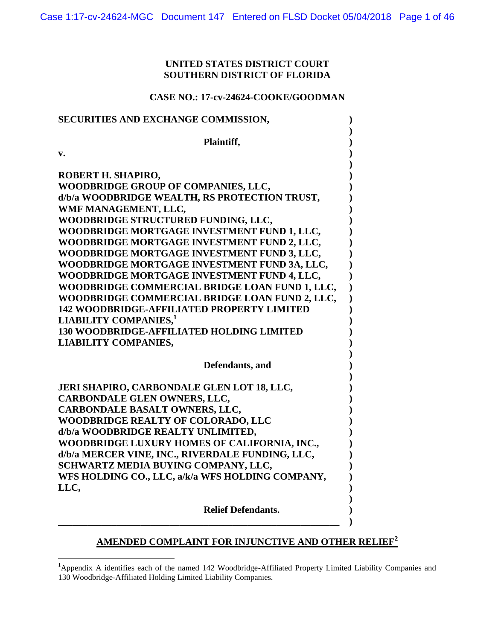## **UNITED STATES DISTRICT COURT SOUTHERN DISTRICT OF FLORIDA**

## **CASE NO.: 17-cv-24624-COOKE/GOODMAN**

| SECURITIES AND EXCHANGE COMMISSION,               |  |
|---------------------------------------------------|--|
| Plaintiff,                                        |  |
| v.                                                |  |
| ROBERT H. SHAPIRO,                                |  |
| WOODBRIDGE GROUP OF COMPANIES, LLC,               |  |
| d/b/a WOODBRIDGE WEALTH, RS PROTECTION TRUST,     |  |
| WMF MANAGEMENT, LLC,                              |  |
| WOODBRIDGE STRUCTURED FUNDING, LLC,               |  |
| WOODBRIDGE MORTGAGE INVESTMENT FUND 1, LLC,       |  |
| WOODBRIDGE MORTGAGE INVESTMENT FUND 2, LLC,       |  |
| WOODBRIDGE MORTGAGE INVESTMENT FUND 3, LLC,       |  |
| WOODBRIDGE MORTGAGE INVESTMENT FUND 3A, LLC,      |  |
| WOODBRIDGE MORTGAGE INVESTMENT FUND 4, LLC,       |  |
| WOODBRIDGE COMMERCIAL BRIDGE LOAN FUND 1, LLC,    |  |
| WOODBRIDGE COMMERCIAL BRIDGE LOAN FUND 2, LLC,    |  |
| <b>142 WOODBRIDGE-AFFILIATED PROPERTY LIMITED</b> |  |
| <b>LIABILITY COMPANIES,1</b>                      |  |
| <b>130 WOODBRIDGE-AFFILIATED HOLDING LIMITED</b>  |  |
| <b>LIABILITY COMPANIES,</b>                       |  |
| Defendants, and                                   |  |
| JERI SHAPIRO, CARBONDALE GLEN LOT 18, LLC,        |  |
| CARBONDALE GLEN OWNERS, LLC,                      |  |
| CARBONDALE BASALT OWNERS, LLC,                    |  |
| WOODBRIDGE REALTY OF COLORADO, LLC                |  |
| d/b/a WOODBRIDGE REALTY UNLIMITED,                |  |
| WOODBRIDGE LUXURY HOMES OF CALIFORNIA, INC.,      |  |
| d/b/a MERCER VINE, INC., RIVERDALE FUNDING, LLC,  |  |
| SCHWARTZ MEDIA BUYING COMPANY, LLC,               |  |
| WFS HOLDING CO., LLC, a/k/a WFS HOLDING COMPANY,  |  |
| LLC.                                              |  |
| <b>Relief Defendants.</b>                         |  |

# **AMENDED COMPLAINT FOR INJUNCTIVE AND OTHER RELIEF<sup>2</sup>**

 $\overline{a}$ 

<sup>&</sup>lt;sup>1</sup>Appendix A identifies each of the named 142 Woodbridge-Affiliated Property Limited Liability Companies and 130 Woodbridge-Affiliated Holding Limited Liability Companies.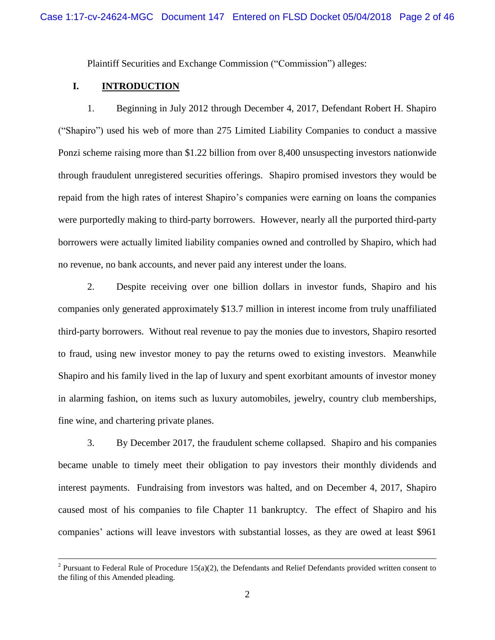Plaintiff Securities and Exchange Commission ("Commission") alleges:

## **I. INTRODUCTION**

 $\overline{a}$ 

1. Beginning in July 2012 through December 4, 2017, Defendant Robert H. Shapiro ("Shapiro") used his web of more than 275 Limited Liability Companies to conduct a massive Ponzi scheme raising more than \$1.22 billion from over 8,400 unsuspecting investors nationwide through fraudulent unregistered securities offerings. Shapiro promised investors they would be repaid from the high rates of interest Shapiro's companies were earning on loans the companies were purportedly making to third-party borrowers. However, nearly all the purported third-party borrowers were actually limited liability companies owned and controlled by Shapiro, which had no revenue, no bank accounts, and never paid any interest under the loans.

2. Despite receiving over one billion dollars in investor funds, Shapiro and his companies only generated approximately \$13.7 million in interest income from truly unaffiliated third-party borrowers. Without real revenue to pay the monies due to investors, Shapiro resorted to fraud, using new investor money to pay the returns owed to existing investors. Meanwhile Shapiro and his family lived in the lap of luxury and spent exorbitant amounts of investor money in alarming fashion, on items such as luxury automobiles, jewelry, country club memberships, fine wine, and chartering private planes.

3. By December 2017, the fraudulent scheme collapsed. Shapiro and his companies became unable to timely meet their obligation to pay investors their monthly dividends and interest payments. Fundraising from investors was halted, and on December 4, 2017, Shapiro caused most of his companies to file Chapter 11 bankruptcy. The effect of Shapiro and his companies' actions will leave investors with substantial losses, as they are owed at least \$961

<sup>&</sup>lt;sup>2</sup> Pursuant to Federal Rule of Procedure 15(a)(2), the Defendants and Relief Defendants provided written consent to the filing of this Amended pleading.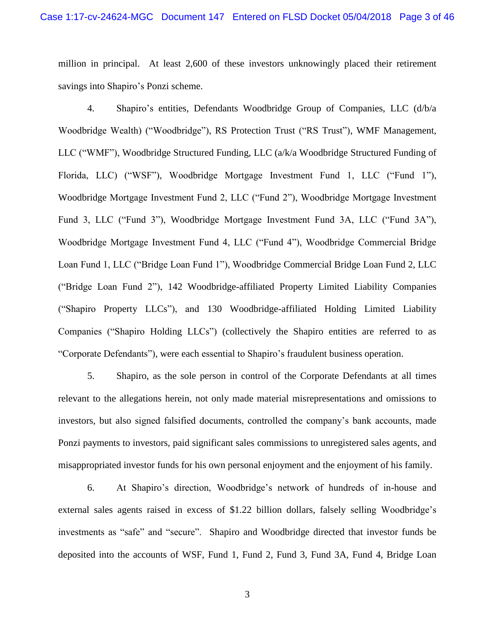million in principal. At least 2,600 of these investors unknowingly placed their retirement savings into Shapiro's Ponzi scheme.

4. Shapiro's entities, Defendants Woodbridge Group of Companies, LLC (d/b/a Woodbridge Wealth) ("Woodbridge"), RS Protection Trust ("RS Trust"), WMF Management, LLC ("WMF"), Woodbridge Structured Funding, LLC (a/k/a Woodbridge Structured Funding of Florida, LLC) ("WSF"), Woodbridge Mortgage Investment Fund 1, LLC ("Fund 1"), Woodbridge Mortgage Investment Fund 2, LLC ("Fund 2"), Woodbridge Mortgage Investment Fund 3, LLC ("Fund 3"), Woodbridge Mortgage Investment Fund 3A, LLC ("Fund 3A"), Woodbridge Mortgage Investment Fund 4, LLC ("Fund 4"), Woodbridge Commercial Bridge Loan Fund 1, LLC ("Bridge Loan Fund 1"), Woodbridge Commercial Bridge Loan Fund 2, LLC ("Bridge Loan Fund 2"), 142 Woodbridge-affiliated Property Limited Liability Companies ("Shapiro Property LLCs"), and 130 Woodbridge-affiliated Holding Limited Liability Companies ("Shapiro Holding LLCs") (collectively the Shapiro entities are referred to as "Corporate Defendants"), were each essential to Shapiro's fraudulent business operation.

5. Shapiro, as the sole person in control of the Corporate Defendants at all times relevant to the allegations herein, not only made material misrepresentations and omissions to investors, but also signed falsified documents, controlled the company's bank accounts, made Ponzi payments to investors, paid significant sales commissions to unregistered sales agents, and misappropriated investor funds for his own personal enjoyment and the enjoyment of his family.

6. At Shapiro's direction, Woodbridge's network of hundreds of in-house and external sales agents raised in excess of \$1.22 billion dollars, falsely selling Woodbridge's investments as "safe" and "secure". Shapiro and Woodbridge directed that investor funds be deposited into the accounts of WSF, Fund 1, Fund 2, Fund 3, Fund 3A, Fund 4, Bridge Loan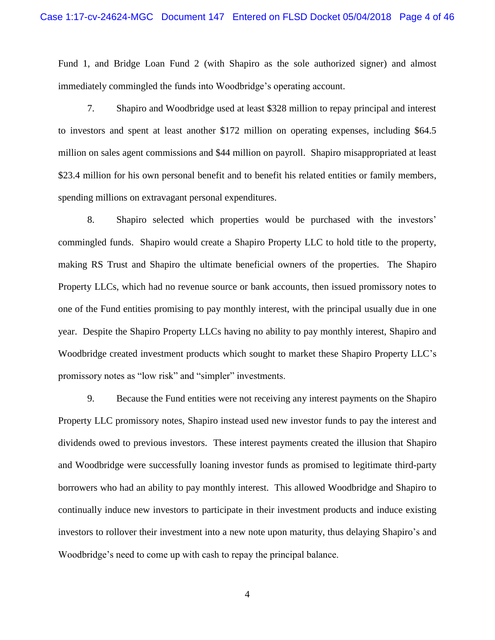Fund 1, and Bridge Loan Fund 2 (with Shapiro as the sole authorized signer) and almost immediately commingled the funds into Woodbridge's operating account.

7. Shapiro and Woodbridge used at least \$328 million to repay principal and interest to investors and spent at least another \$172 million on operating expenses, including \$64.5 million on sales agent commissions and \$44 million on payroll. Shapiro misappropriated at least \$23.4 million for his own personal benefit and to benefit his related entities or family members, spending millions on extravagant personal expenditures.

8. Shapiro selected which properties would be purchased with the investors' commingled funds. Shapiro would create a Shapiro Property LLC to hold title to the property, making RS Trust and Shapiro the ultimate beneficial owners of the properties. The Shapiro Property LLCs, which had no revenue source or bank accounts, then issued promissory notes to one of the Fund entities promising to pay monthly interest, with the principal usually due in one year. Despite the Shapiro Property LLCs having no ability to pay monthly interest, Shapiro and Woodbridge created investment products which sought to market these Shapiro Property LLC's promissory notes as "low risk" and "simpler" investments.

9. Because the Fund entities were not receiving any interest payments on the Shapiro Property LLC promissory notes, Shapiro instead used new investor funds to pay the interest and dividends owed to previous investors. These interest payments created the illusion that Shapiro and Woodbridge were successfully loaning investor funds as promised to legitimate third-party borrowers who had an ability to pay monthly interest. This allowed Woodbridge and Shapiro to continually induce new investors to participate in their investment products and induce existing investors to rollover their investment into a new note upon maturity, thus delaying Shapiro's and Woodbridge's need to come up with cash to repay the principal balance.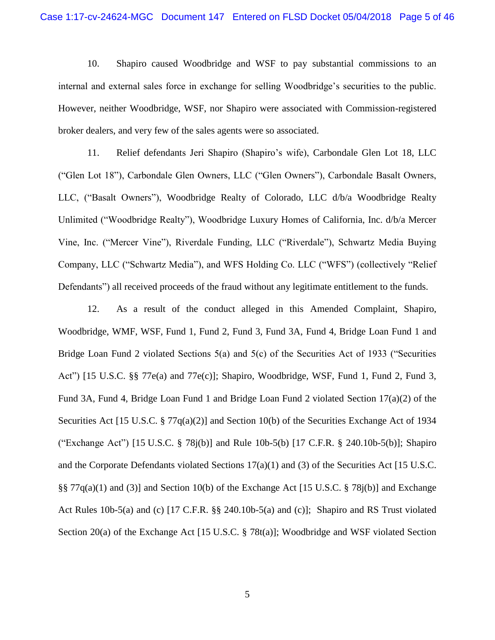10. Shapiro caused Woodbridge and WSF to pay substantial commissions to an internal and external sales force in exchange for selling Woodbridge's securities to the public. However, neither Woodbridge, WSF, nor Shapiro were associated with Commission-registered broker dealers, and very few of the sales agents were so associated.

11. Relief defendants Jeri Shapiro (Shapiro's wife), Carbondale Glen Lot 18, LLC ("Glen Lot 18"), Carbondale Glen Owners, LLC ("Glen Owners"), Carbondale Basalt Owners, LLC, ("Basalt Owners"), Woodbridge Realty of Colorado, LLC d/b/a Woodbridge Realty Unlimited ("Woodbridge Realty"), Woodbridge Luxury Homes of California, Inc. d/b/a Mercer Vine, Inc. ("Mercer Vine"), Riverdale Funding, LLC ("Riverdale"), Schwartz Media Buying Company, LLC ("Schwartz Media"), and WFS Holding Co. LLC ("WFS") (collectively "Relief Defendants") all received proceeds of the fraud without any legitimate entitlement to the funds.

12. As a result of the conduct alleged in this Amended Complaint, Shapiro, Woodbridge, WMF, WSF, Fund 1, Fund 2, Fund 3, Fund 3A, Fund 4, Bridge Loan Fund 1 and Bridge Loan Fund 2 violated Sections 5(a) and 5(c) of the Securities Act of 1933 ("Securities Act") [15 U.S.C. §§ 77e(a) and 77e(c)]; Shapiro, Woodbridge, WSF, Fund 1, Fund 2, Fund 3, Fund 3A, Fund 4, Bridge Loan Fund 1 and Bridge Loan Fund 2 violated Section 17(a)(2) of the Securities Act [15 U.S.C. § 77q(a)(2)] and Section 10(b) of the Securities Exchange Act of 1934 ("Exchange Act") [15 U.S.C. § 78j(b)] and Rule 10b-5(b) [17 C.F.R. § 240.10b-5(b)]; Shapiro and the Corporate Defendants violated Sections  $17(a)(1)$  and (3) of the Securities Act [15 U.S.C. §§  $77q(a)(1)$  and (3)] and Section 10(b) of the Exchange Act [15 U.S.C. § 78j(b)] and Exchange Act Rules 10b-5(a) and (c) [17 C.F.R. §§ 240.10b-5(a) and (c)]; Shapiro and RS Trust violated Section 20(a) of the Exchange Act [15 U.S.C. § 78t(a)]; Woodbridge and WSF violated Section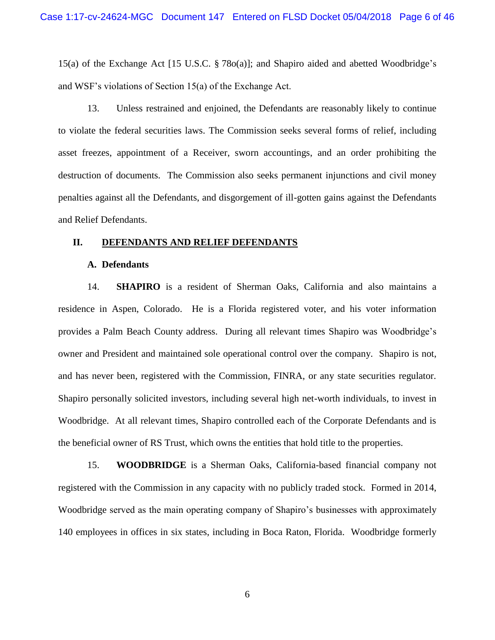15(a) of the Exchange Act [15 U.S.C. § 78o(a)]; and Shapiro aided and abetted Woodbridge's and WSF's violations of Section 15(a) of the Exchange Act.

13. Unless restrained and enjoined, the Defendants are reasonably likely to continue to violate the federal securities laws. The Commission seeks several forms of relief, including asset freezes, appointment of a Receiver, sworn accountings, and an order prohibiting the destruction of documents. The Commission also seeks permanent injunctions and civil money penalties against all the Defendants, and disgorgement of ill-gotten gains against the Defendants and Relief Defendants.

#### **II. DEFENDANTS AND RELIEF DEFENDANTS**

#### **A. Defendants**

14. **SHAPIRO** is a resident of Sherman Oaks, California and also maintains a residence in Aspen, Colorado. He is a Florida registered voter, and his voter information provides a Palm Beach County address. During all relevant times Shapiro was Woodbridge's owner and President and maintained sole operational control over the company. Shapiro is not, and has never been, registered with the Commission, FINRA, or any state securities regulator. Shapiro personally solicited investors, including several high net-worth individuals, to invest in Woodbridge. At all relevant times, Shapiro controlled each of the Corporate Defendants and is the beneficial owner of RS Trust, which owns the entities that hold title to the properties.

15. **WOODBRIDGE** is a Sherman Oaks, California-based financial company not registered with the Commission in any capacity with no publicly traded stock. Formed in 2014, Woodbridge served as the main operating company of Shapiro's businesses with approximately 140 employees in offices in six states, including in Boca Raton, Florida. Woodbridge formerly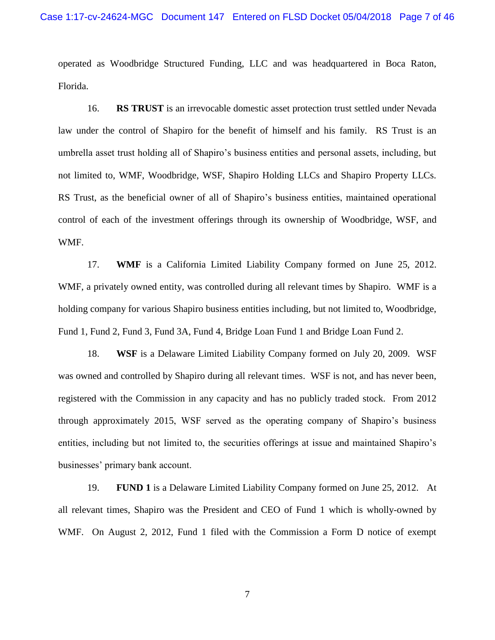operated as Woodbridge Structured Funding, LLC and was headquartered in Boca Raton, Florida.

16. **RS TRUST** is an irrevocable domestic asset protection trust settled under Nevada law under the control of Shapiro for the benefit of himself and his family. RS Trust is an umbrella asset trust holding all of Shapiro's business entities and personal assets, including, but not limited to, WMF, Woodbridge, WSF, Shapiro Holding LLCs and Shapiro Property LLCs. RS Trust, as the beneficial owner of all of Shapiro's business entities, maintained operational control of each of the investment offerings through its ownership of Woodbridge, WSF, and WMF.

17. **WMF** is a California Limited Liability Company formed on June 25, 2012. WMF, a privately owned entity, was controlled during all relevant times by Shapiro. WMF is a holding company for various Shapiro business entities including, but not limited to, Woodbridge, Fund 1, Fund 2, Fund 3, Fund 3A, Fund 4, Bridge Loan Fund 1 and Bridge Loan Fund 2.

18. **WSF** is a Delaware Limited Liability Company formed on July 20, 2009. WSF was owned and controlled by Shapiro during all relevant times. WSF is not, and has never been, registered with the Commission in any capacity and has no publicly traded stock. From 2012 through approximately 2015, WSF served as the operating company of Shapiro's business entities, including but not limited to, the securities offerings at issue and maintained Shapiro's businesses' primary bank account.

19. **FUND 1** is a Delaware Limited Liability Company formed on June 25, 2012. At all relevant times, Shapiro was the President and CEO of Fund 1 which is wholly-owned by WMF. On August 2, 2012, Fund 1 filed with the Commission a Form D notice of exempt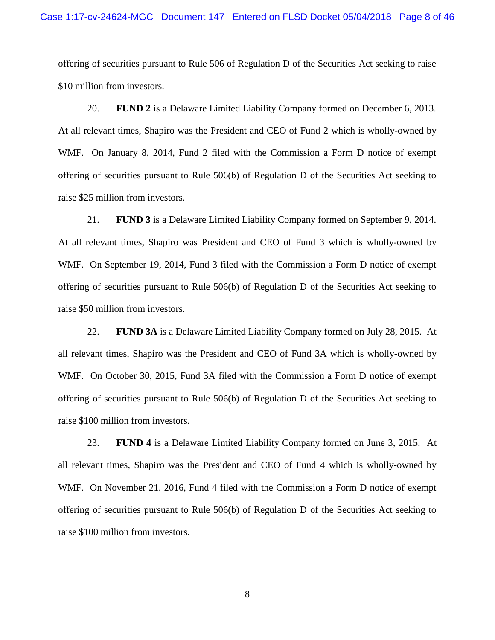offering of securities pursuant to Rule 506 of Regulation D of the Securities Act seeking to raise \$10 million from investors.

20. **FUND 2** is a Delaware Limited Liability Company formed on December 6, 2013. At all relevant times, Shapiro was the President and CEO of Fund 2 which is wholly-owned by WMF. On January 8, 2014, Fund 2 filed with the Commission a Form D notice of exempt offering of securities pursuant to Rule 506(b) of Regulation D of the Securities Act seeking to raise \$25 million from investors.

21. **FUND 3** is a Delaware Limited Liability Company formed on September 9, 2014. At all relevant times, Shapiro was President and CEO of Fund 3 which is wholly-owned by WMF. On September 19, 2014, Fund 3 filed with the Commission a Form D notice of exempt offering of securities pursuant to Rule 506(b) of Regulation D of the Securities Act seeking to raise \$50 million from investors.

22. **FUND 3A** is a Delaware Limited Liability Company formed on July 28, 2015. At all relevant times, Shapiro was the President and CEO of Fund 3A which is wholly-owned by WMF. On October 30, 2015, Fund 3A filed with the Commission a Form D notice of exempt offering of securities pursuant to Rule 506(b) of Regulation D of the Securities Act seeking to raise \$100 million from investors.

23. **FUND 4** is a Delaware Limited Liability Company formed on June 3, 2015. At all relevant times, Shapiro was the President and CEO of Fund 4 which is wholly-owned by WMF. On November 21, 2016, Fund 4 filed with the Commission a Form D notice of exempt offering of securities pursuant to Rule 506(b) of Regulation D of the Securities Act seeking to raise \$100 million from investors.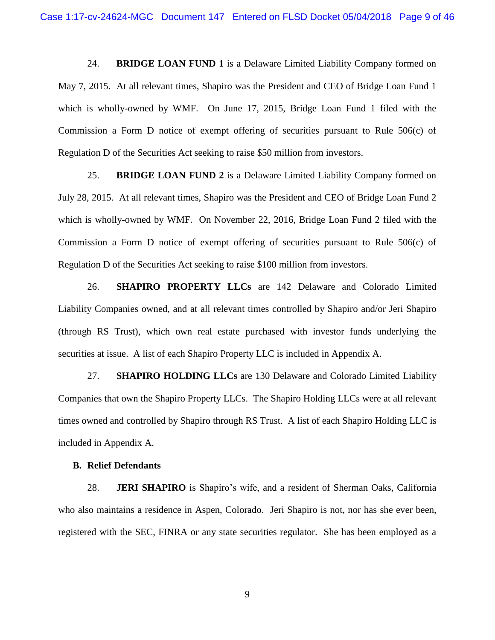24. **BRIDGE LOAN FUND 1** is a Delaware Limited Liability Company formed on May 7, 2015. At all relevant times, Shapiro was the President and CEO of Bridge Loan Fund 1 which is wholly-owned by WMF. On June 17, 2015, Bridge Loan Fund 1 filed with the Commission a Form D notice of exempt offering of securities pursuant to Rule 506(c) of Regulation D of the Securities Act seeking to raise \$50 million from investors.

25. **BRIDGE LOAN FUND 2** is a Delaware Limited Liability Company formed on July 28, 2015. At all relevant times, Shapiro was the President and CEO of Bridge Loan Fund 2 which is wholly-owned by WMF. On November 22, 2016, Bridge Loan Fund 2 filed with the Commission a Form D notice of exempt offering of securities pursuant to Rule 506(c) of Regulation D of the Securities Act seeking to raise \$100 million from investors.

26. **SHAPIRO PROPERTY LLCs** are 142 Delaware and Colorado Limited Liability Companies owned, and at all relevant times controlled by Shapiro and/or Jeri Shapiro (through RS Trust), which own real estate purchased with investor funds underlying the securities at issue. A list of each Shapiro Property LLC is included in Appendix A.

27. **SHAPIRO HOLDING LLCs** are 130 Delaware and Colorado Limited Liability Companies that own the Shapiro Property LLCs. The Shapiro Holding LLCs were at all relevant times owned and controlled by Shapiro through RS Trust. A list of each Shapiro Holding LLC is included in Appendix A.

## **B. Relief Defendants**

28. **JERI SHAPIRO** is Shapiro's wife, and a resident of Sherman Oaks, California who also maintains a residence in Aspen, Colorado. Jeri Shapiro is not, nor has she ever been, registered with the SEC, FINRA or any state securities regulator. She has been employed as a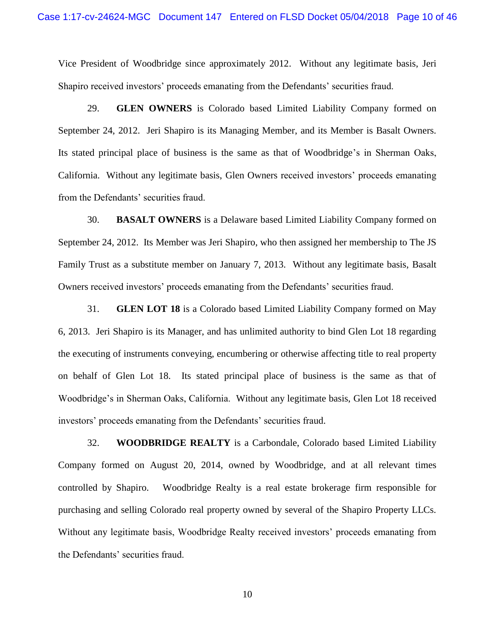Vice President of Woodbridge since approximately 2012. Without any legitimate basis, Jeri Shapiro received investors' proceeds emanating from the Defendants' securities fraud.

29. **GLEN OWNERS** is Colorado based Limited Liability Company formed on September 24, 2012. Jeri Shapiro is its Managing Member, and its Member is Basalt Owners. Its stated principal place of business is the same as that of Woodbridge's in Sherman Oaks, California. Without any legitimate basis, Glen Owners received investors' proceeds emanating from the Defendants' securities fraud.

30. **BASALT OWNERS** is a Delaware based Limited Liability Company formed on September 24, 2012. Its Member was Jeri Shapiro, who then assigned her membership to The JS Family Trust as a substitute member on January 7, 2013. Without any legitimate basis, Basalt Owners received investors' proceeds emanating from the Defendants' securities fraud.

31. **GLEN LOT 18** is a Colorado based Limited Liability Company formed on May 6, 2013. Jeri Shapiro is its Manager, and has unlimited authority to bind Glen Lot 18 regarding the executing of instruments conveying, encumbering or otherwise affecting title to real property on behalf of Glen Lot 18. Its stated principal place of business is the same as that of Woodbridge's in Sherman Oaks, California. Without any legitimate basis, Glen Lot 18 received investors' proceeds emanating from the Defendants' securities fraud.

32. **WOODBRIDGE REALTY** is a Carbondale, Colorado based Limited Liability Company formed on August 20, 2014, owned by Woodbridge, and at all relevant times controlled by Shapiro. Woodbridge Realty is a real estate brokerage firm responsible for purchasing and selling Colorado real property owned by several of the Shapiro Property LLCs. Without any legitimate basis, Woodbridge Realty received investors' proceeds emanating from the Defendants' securities fraud.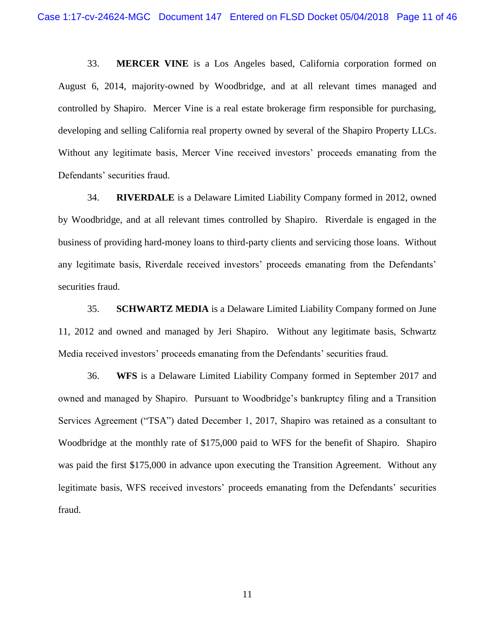33. **MERCER VINE** is a Los Angeles based, California corporation formed on August 6, 2014, majority-owned by Woodbridge, and at all relevant times managed and controlled by Shapiro. Mercer Vine is a real estate brokerage firm responsible for purchasing, developing and selling California real property owned by several of the Shapiro Property LLCs. Without any legitimate basis, Mercer Vine received investors' proceeds emanating from the Defendants' securities fraud.

34. **RIVERDALE** is a Delaware Limited Liability Company formed in 2012, owned by Woodbridge, and at all relevant times controlled by Shapiro. Riverdale is engaged in the business of providing hard-money loans to third-party clients and servicing those loans. Without any legitimate basis, Riverdale received investors' proceeds emanating from the Defendants' securities fraud.

35. **SCHWARTZ MEDIA** is a Delaware Limited Liability Company formed on June 11, 2012 and owned and managed by Jeri Shapiro. Without any legitimate basis, Schwartz Media received investors' proceeds emanating from the Defendants' securities fraud.

36. **WFS** is a Delaware Limited Liability Company formed in September 2017 and owned and managed by Shapiro. Pursuant to Woodbridge's bankruptcy filing and a Transition Services Agreement ("TSA") dated December 1, 2017, Shapiro was retained as a consultant to Woodbridge at the monthly rate of \$175,000 paid to WFS for the benefit of Shapiro. Shapiro was paid the first \$175,000 in advance upon executing the Transition Agreement. Without any legitimate basis, WFS received investors' proceeds emanating from the Defendants' securities fraud.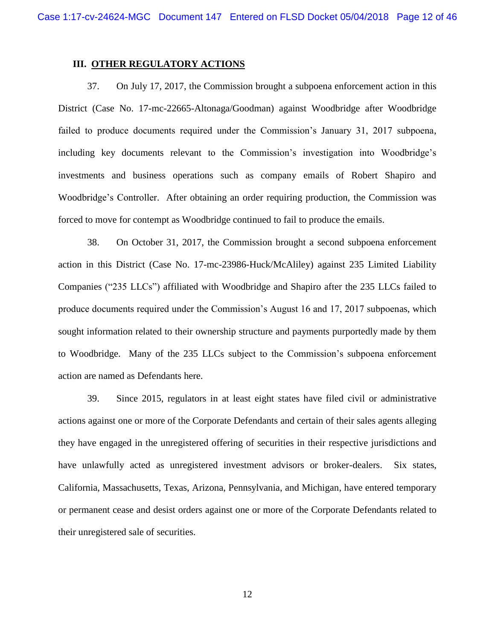## **III. OTHER REGULATORY ACTIONS**

37. On July 17, 2017, the Commission brought a subpoena enforcement action in this District (Case No. 17-mc-22665-Altonaga/Goodman) against Woodbridge after Woodbridge failed to produce documents required under the Commission's January 31, 2017 subpoena, including key documents relevant to the Commission's investigation into Woodbridge's investments and business operations such as company emails of Robert Shapiro and Woodbridge's Controller. After obtaining an order requiring production, the Commission was forced to move for contempt as Woodbridge continued to fail to produce the emails.

38. On October 31, 2017, the Commission brought a second subpoena enforcement action in this District (Case No. 17-mc-23986-Huck/McAliley) against 235 Limited Liability Companies ("235 LLCs") affiliated with Woodbridge and Shapiro after the 235 LLCs failed to produce documents required under the Commission's August 16 and 17, 2017 subpoenas, which sought information related to their ownership structure and payments purportedly made by them to Woodbridge. Many of the 235 LLCs subject to the Commission's subpoena enforcement action are named as Defendants here.

39. Since 2015, regulators in at least eight states have filed civil or administrative actions against one or more of the Corporate Defendants and certain of their sales agents alleging they have engaged in the unregistered offering of securities in their respective jurisdictions and have unlawfully acted as unregistered investment advisors or broker-dealers. Six states, California, Massachusetts, Texas, Arizona, Pennsylvania, and Michigan, have entered temporary or permanent cease and desist orders against one or more of the Corporate Defendants related to their unregistered sale of securities.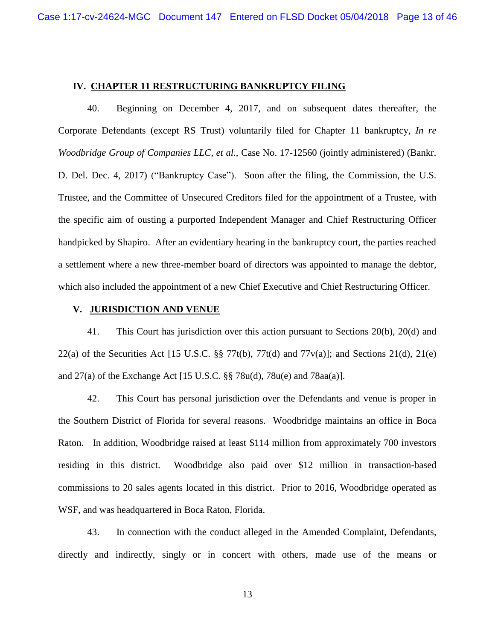### **IV. CHAPTER 11 RESTRUCTURING BANKRUPTCY FILING**

40. Beginning on December 4, 2017, and on subsequent dates thereafter, the Corporate Defendants (except RS Trust) voluntarily filed for Chapter 11 bankruptcy, *In re Woodbridge Group of Companies LLC, et al.,* Case No. 17-12560 (jointly administered) (Bankr. D. Del. Dec. 4, 2017) ("Bankruptcy Case"). Soon after the filing, the Commission, the U.S. Trustee, and the Committee of Unsecured Creditors filed for the appointment of a Trustee, with the specific aim of ousting a purported Independent Manager and Chief Restructuring Officer handpicked by Shapiro. After an evidentiary hearing in the bankruptcy court, the parties reached a settlement where a new three-member board of directors was appointed to manage the debtor, which also included the appointment of a new Chief Executive and Chief Restructuring Officer.

## **V. JURISDICTION AND VENUE**

41. This Court has jurisdiction over this action pursuant to Sections 20(b), 20(d) and 22(a) of the Securities Act [15 U.S.C.  $\S$  77t(b), 77t(d) and 77 $v(a)$ ]; and Sections 21(d), 21(e) and 27(a) of the Exchange Act [15 U.S.C. §§ 78u(d), 78u(e) and 78aa(a)].

42. This Court has personal jurisdiction over the Defendants and venue is proper in the Southern District of Florida for several reasons. Woodbridge maintains an office in Boca Raton. In addition, Woodbridge raised at least \$114 million from approximately 700 investors residing in this district. Woodbridge also paid over \$12 million in transaction-based commissions to 20 sales agents located in this district. Prior to 2016, Woodbridge operated as WSF, and was headquartered in Boca Raton, Florida.

43. In connection with the conduct alleged in the Amended Complaint, Defendants, directly and indirectly, singly or in concert with others, made use of the means or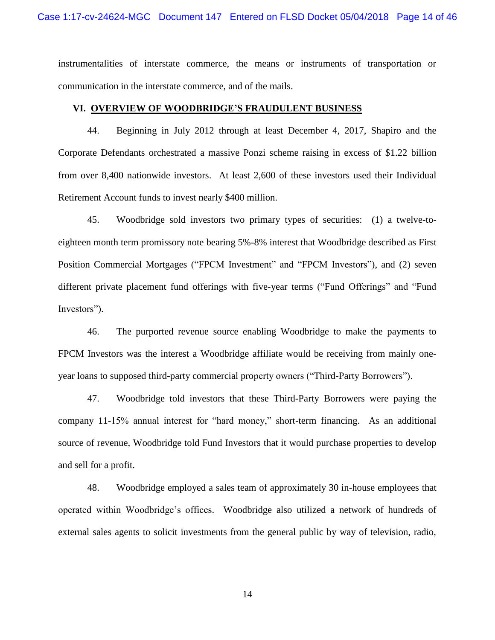instrumentalities of interstate commerce, the means or instruments of transportation or communication in the interstate commerce, and of the mails.

# **VI. OVERVIEW OF WOODBRIDGE'S FRAUDULENT BUSINESS**

44. Beginning in July 2012 through at least December 4, 2017, Shapiro and the Corporate Defendants orchestrated a massive Ponzi scheme raising in excess of \$1.22 billion from over 8,400 nationwide investors. At least 2,600 of these investors used their Individual Retirement Account funds to invest nearly \$400 million.

45. Woodbridge sold investors two primary types of securities: (1) a twelve-toeighteen month term promissory note bearing 5%-8% interest that Woodbridge described as First Position Commercial Mortgages ("FPCM Investment" and "FPCM Investors"), and (2) seven different private placement fund offerings with five-year terms ("Fund Offerings" and "Fund Investors").

46. The purported revenue source enabling Woodbridge to make the payments to FPCM Investors was the interest a Woodbridge affiliate would be receiving from mainly oneyear loans to supposed third-party commercial property owners ("Third-Party Borrowers").

47. Woodbridge told investors that these Third-Party Borrowers were paying the company 11-15% annual interest for "hard money," short-term financing. As an additional source of revenue, Woodbridge told Fund Investors that it would purchase properties to develop and sell for a profit.

48. Woodbridge employed a sales team of approximately 30 in-house employees that operated within Woodbridge's offices. Woodbridge also utilized a network of hundreds of external sales agents to solicit investments from the general public by way of television, radio,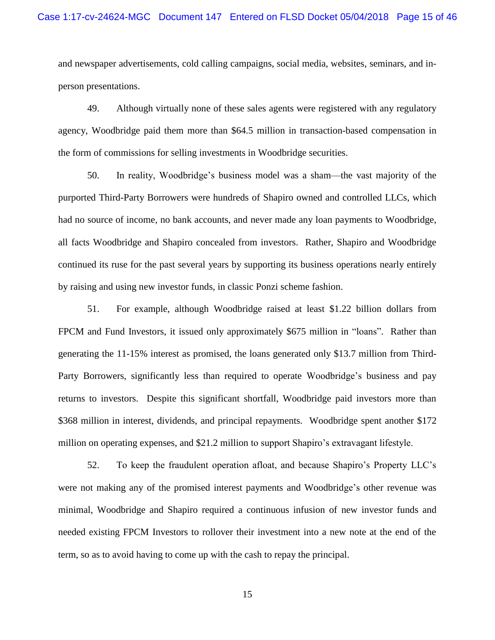and newspaper advertisements, cold calling campaigns, social media, websites, seminars, and inperson presentations.

49. Although virtually none of these sales agents were registered with any regulatory agency, Woodbridge paid them more than \$64.5 million in transaction-based compensation in the form of commissions for selling investments in Woodbridge securities.

50. In reality, Woodbridge's business model was a sham—the vast majority of the purported Third-Party Borrowers were hundreds of Shapiro owned and controlled LLCs, which had no source of income, no bank accounts, and never made any loan payments to Woodbridge, all facts Woodbridge and Shapiro concealed from investors. Rather, Shapiro and Woodbridge continued its ruse for the past several years by supporting its business operations nearly entirely by raising and using new investor funds, in classic Ponzi scheme fashion.

51. For example, although Woodbridge raised at least \$1.22 billion dollars from FPCM and Fund Investors, it issued only approximately \$675 million in "loans". Rather than generating the 11-15% interest as promised, the loans generated only \$13.7 million from Third-Party Borrowers, significantly less than required to operate Woodbridge's business and pay returns to investors. Despite this significant shortfall, Woodbridge paid investors more than \$368 million in interest, dividends, and principal repayments. Woodbridge spent another \$172 million on operating expenses, and \$21.2 million to support Shapiro's extravagant lifestyle.

52. To keep the fraudulent operation afloat, and because Shapiro's Property LLC's were not making any of the promised interest payments and Woodbridge's other revenue was minimal, Woodbridge and Shapiro required a continuous infusion of new investor funds and needed existing FPCM Investors to rollover their investment into a new note at the end of the term, so as to avoid having to come up with the cash to repay the principal.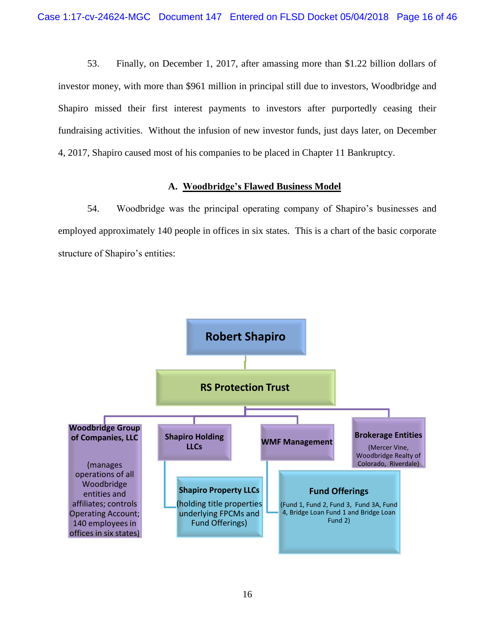53. Finally, on December 1, 2017, after amassing more than \$1.22 billion dollars of investor money, with more than \$961 million in principal still due to investors, Woodbridge and Shapiro missed their first interest payments to investors after purportedly ceasing their fundraising activities. Without the infusion of new investor funds, just days later, on December 4, 2017, Shapiro caused most of his companies to be placed in Chapter 11 Bankruptcy.

# **A. Woodbridge's Flawed Business Model**

54. Woodbridge was the principal operating company of Shapiro's businesses and employed approximately 140 people in offices in six states. This is a chart of the basic corporate structure of Shapiro's entities:

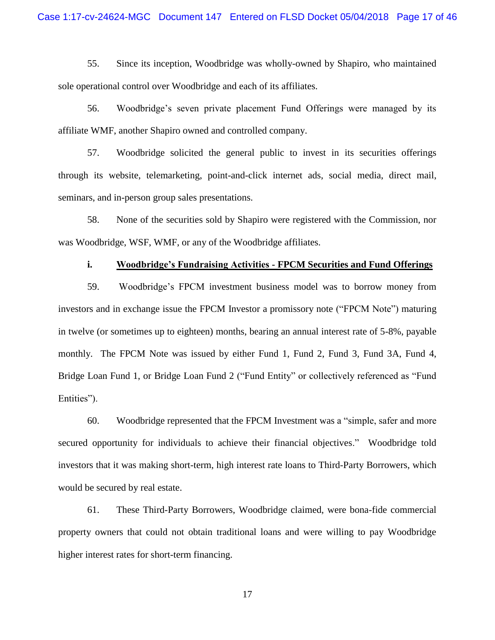55. Since its inception, Woodbridge was wholly-owned by Shapiro, who maintained sole operational control over Woodbridge and each of its affiliates.

56. Woodbridge's seven private placement Fund Offerings were managed by its affiliate WMF, another Shapiro owned and controlled company.

57. Woodbridge solicited the general public to invest in its securities offerings through its website, telemarketing, point-and-click internet ads, social media, direct mail, seminars, and in-person group sales presentations.

58. None of the securities sold by Shapiro were registered with the Commission, nor was Woodbridge, WSF, WMF, or any of the Woodbridge affiliates.

## **i. Woodbridge's Fundraising Activities - FPCM Securities and Fund Offerings**

59. Woodbridge's FPCM investment business model was to borrow money from investors and in exchange issue the FPCM Investor a promissory note ("FPCM Note") maturing in twelve (or sometimes up to eighteen) months, bearing an annual interest rate of 5-8%, payable monthly. The FPCM Note was issued by either Fund 1, Fund 2, Fund 3, Fund 3A, Fund 4, Bridge Loan Fund 1, or Bridge Loan Fund 2 ("Fund Entity" or collectively referenced as "Fund Entities").

60. Woodbridge represented that the FPCM Investment was a "simple, safer and more secured opportunity for individuals to achieve their financial objectives." Woodbridge told investors that it was making short-term, high interest rate loans to Third-Party Borrowers, which would be secured by real estate.

61. These Third-Party Borrowers, Woodbridge claimed, were bona-fide commercial property owners that could not obtain traditional loans and were willing to pay Woodbridge higher interest rates for short-term financing.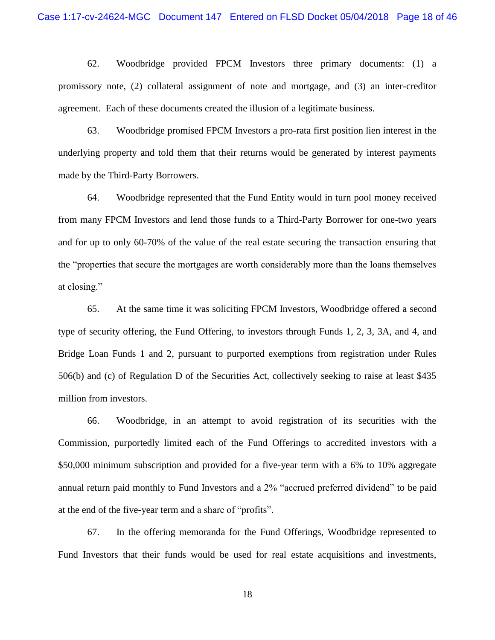62. Woodbridge provided FPCM Investors three primary documents: (1) a promissory note, (2) collateral assignment of note and mortgage, and (3) an inter-creditor agreement. Each of these documents created the illusion of a legitimate business.

63. Woodbridge promised FPCM Investors a pro-rata first position lien interest in the underlying property and told them that their returns would be generated by interest payments made by the Third-Party Borrowers.

64. Woodbridge represented that the Fund Entity would in turn pool money received from many FPCM Investors and lend those funds to a Third-Party Borrower for one-two years and for up to only 60-70% of the value of the real estate securing the transaction ensuring that the "properties that secure the mortgages are worth considerably more than the loans themselves at closing."

65. At the same time it was soliciting FPCM Investors, Woodbridge offered a second type of security offering, the Fund Offering, to investors through Funds 1, 2, 3, 3A, and 4, and Bridge Loan Funds 1 and 2, pursuant to purported exemptions from registration under Rules 506(b) and (c) of Regulation D of the Securities Act, collectively seeking to raise at least \$435 million from investors.

66. Woodbridge, in an attempt to avoid registration of its securities with the Commission, purportedly limited each of the Fund Offerings to accredited investors with a \$50,000 minimum subscription and provided for a five-year term with a 6% to 10% aggregate annual return paid monthly to Fund Investors and a 2% "accrued preferred dividend" to be paid at the end of the five-year term and a share of "profits".

67. In the offering memoranda for the Fund Offerings, Woodbridge represented to Fund Investors that their funds would be used for real estate acquisitions and investments,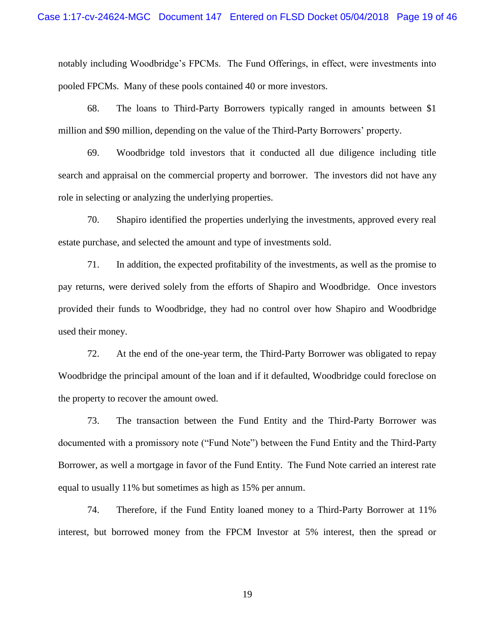notably including Woodbridge's FPCMs. The Fund Offerings, in effect, were investments into pooled FPCMs. Many of these pools contained 40 or more investors.

68. The loans to Third-Party Borrowers typically ranged in amounts between \$1 million and \$90 million, depending on the value of the Third-Party Borrowers' property.

69. Woodbridge told investors that it conducted all due diligence including title search and appraisal on the commercial property and borrower. The investors did not have any role in selecting or analyzing the underlying properties.

70. Shapiro identified the properties underlying the investments, approved every real estate purchase, and selected the amount and type of investments sold.

71. In addition, the expected profitability of the investments, as well as the promise to pay returns, were derived solely from the efforts of Shapiro and Woodbridge. Once investors provided their funds to Woodbridge, they had no control over how Shapiro and Woodbridge used their money.

72. At the end of the one-year term, the Third-Party Borrower was obligated to repay Woodbridge the principal amount of the loan and if it defaulted, Woodbridge could foreclose on the property to recover the amount owed.

73. The transaction between the Fund Entity and the Third-Party Borrower was documented with a promissory note ("Fund Note") between the Fund Entity and the Third-Party Borrower, as well a mortgage in favor of the Fund Entity. The Fund Note carried an interest rate equal to usually 11% but sometimes as high as 15% per annum.

74. Therefore, if the Fund Entity loaned money to a Third-Party Borrower at 11% interest, but borrowed money from the FPCM Investor at 5% interest, then the spread or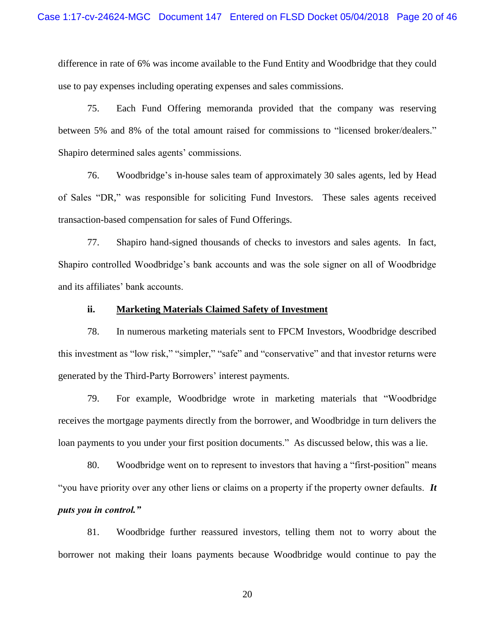difference in rate of 6% was income available to the Fund Entity and Woodbridge that they could use to pay expenses including operating expenses and sales commissions.

75. Each Fund Offering memoranda provided that the company was reserving between 5% and 8% of the total amount raised for commissions to "licensed broker/dealers." Shapiro determined sales agents' commissions.

76. Woodbridge's in-house sales team of approximately 30 sales agents, led by Head of Sales "DR," was responsible for soliciting Fund Investors. These sales agents received transaction-based compensation for sales of Fund Offerings.

77. Shapiro hand-signed thousands of checks to investors and sales agents. In fact, Shapiro controlled Woodbridge's bank accounts and was the sole signer on all of Woodbridge and its affiliates' bank accounts.

## **ii. Marketing Materials Claimed Safety of Investment**

78. In numerous marketing materials sent to FPCM Investors, Woodbridge described this investment as "low risk," "simpler," "safe" and "conservative" and that investor returns were generated by the Third-Party Borrowers' interest payments.

79. For example, Woodbridge wrote in marketing materials that "Woodbridge receives the mortgage payments directly from the borrower, and Woodbridge in turn delivers the loan payments to you under your first position documents." As discussed below, this was a lie.

80. Woodbridge went on to represent to investors that having a "first-position" means "you have priority over any other liens or claims on a property if the property owner defaults. *It puts you in control."*

81. Woodbridge further reassured investors, telling them not to worry about the borrower not making their loans payments because Woodbridge would continue to pay the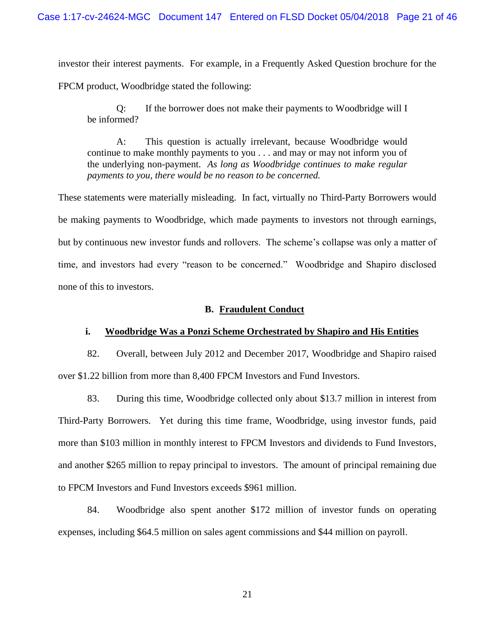investor their interest payments. For example, in a Frequently Asked Question brochure for the

FPCM product, Woodbridge stated the following:

Q: If the borrower does not make their payments to Woodbridge will I be informed?

A: This question is actually irrelevant, because Woodbridge would continue to make monthly payments to you . . . and may or may not inform you of the underlying non-payment. *As long as Woodbridge continues to make regular payments to you, there would be no reason to be concerned.*

These statements were materially misleading. In fact, virtually no Third-Party Borrowers would be making payments to Woodbridge, which made payments to investors not through earnings, but by continuous new investor funds and rollovers. The scheme's collapse was only a matter of time, and investors had every "reason to be concerned." Woodbridge and Shapiro disclosed none of this to investors.

## **B. Fraudulent Conduct**

## **i. Woodbridge Was a Ponzi Scheme Orchestrated by Shapiro and His Entities**

82. Overall, between July 2012 and December 2017, Woodbridge and Shapiro raised over \$1.22 billion from more than 8,400 FPCM Investors and Fund Investors.

83. During this time, Woodbridge collected only about \$13.7 million in interest from Third-Party Borrowers. Yet during this time frame, Woodbridge, using investor funds, paid more than \$103 million in monthly interest to FPCM Investors and dividends to Fund Investors, and another \$265 million to repay principal to investors. The amount of principal remaining due to FPCM Investors and Fund Investors exceeds \$961 million.

84. Woodbridge also spent another \$172 million of investor funds on operating expenses, including \$64.5 million on sales agent commissions and \$44 million on payroll.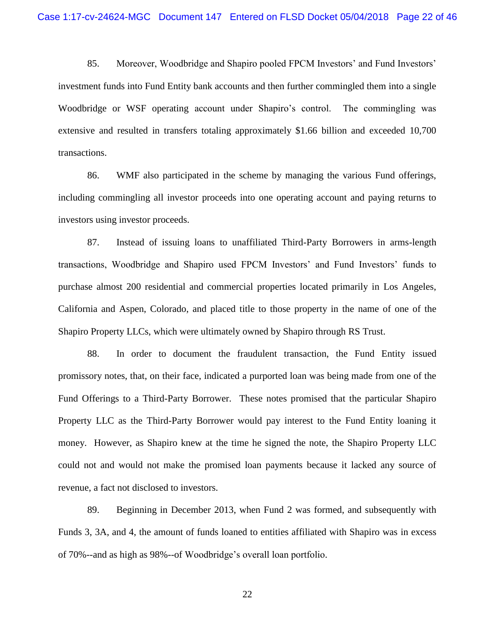85. Moreover, Woodbridge and Shapiro pooled FPCM Investors' and Fund Investors' investment funds into Fund Entity bank accounts and then further commingled them into a single Woodbridge or WSF operating account under Shapiro's control. The commingling was extensive and resulted in transfers totaling approximately \$1.66 billion and exceeded 10,700 transactions.

86. WMF also participated in the scheme by managing the various Fund offerings, including commingling all investor proceeds into one operating account and paying returns to investors using investor proceeds.

87. Instead of issuing loans to unaffiliated Third-Party Borrowers in arms-length transactions, Woodbridge and Shapiro used FPCM Investors' and Fund Investors' funds to purchase almost 200 residential and commercial properties located primarily in Los Angeles, California and Aspen, Colorado, and placed title to those property in the name of one of the Shapiro Property LLCs, which were ultimately owned by Shapiro through RS Trust.

88. In order to document the fraudulent transaction, the Fund Entity issued promissory notes, that, on their face, indicated a purported loan was being made from one of the Fund Offerings to a Third-Party Borrower. These notes promised that the particular Shapiro Property LLC as the Third-Party Borrower would pay interest to the Fund Entity loaning it money. However, as Shapiro knew at the time he signed the note, the Shapiro Property LLC could not and would not make the promised loan payments because it lacked any source of revenue, a fact not disclosed to investors.

89. Beginning in December 2013, when Fund 2 was formed, and subsequently with Funds 3, 3A, and 4, the amount of funds loaned to entities affiliated with Shapiro was in excess of 70%--and as high as 98%--of Woodbridge's overall loan portfolio.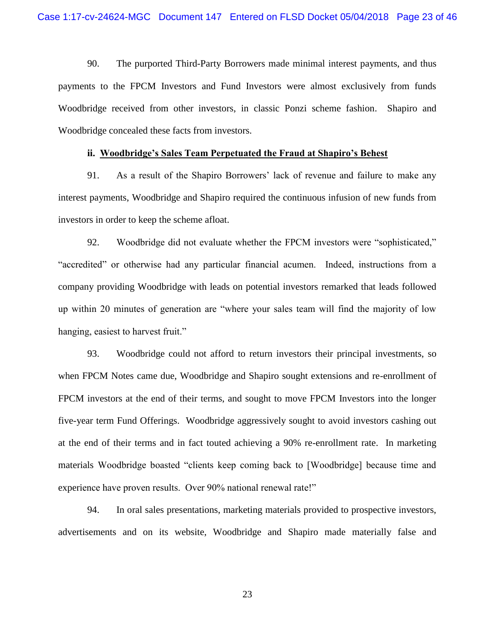90. The purported Third-Party Borrowers made minimal interest payments, and thus payments to the FPCM Investors and Fund Investors were almost exclusively from funds Woodbridge received from other investors, in classic Ponzi scheme fashion. Shapiro and Woodbridge concealed these facts from investors.

### **ii. Woodbridge's Sales Team Perpetuated the Fraud at Shapiro's Behest**

91. As a result of the Shapiro Borrowers' lack of revenue and failure to make any interest payments, Woodbridge and Shapiro required the continuous infusion of new funds from investors in order to keep the scheme afloat.

92. Woodbridge did not evaluate whether the FPCM investors were "sophisticated," "accredited" or otherwise had any particular financial acumen. Indeed, instructions from a company providing Woodbridge with leads on potential investors remarked that leads followed up within 20 minutes of generation are "where your sales team will find the majority of low hanging, easiest to harvest fruit."

93. Woodbridge could not afford to return investors their principal investments, so when FPCM Notes came due, Woodbridge and Shapiro sought extensions and re-enrollment of FPCM investors at the end of their terms, and sought to move FPCM Investors into the longer five-year term Fund Offerings. Woodbridge aggressively sought to avoid investors cashing out at the end of their terms and in fact touted achieving a 90% re-enrollment rate. In marketing materials Woodbridge boasted "clients keep coming back to [Woodbridge] because time and experience have proven results. Over 90% national renewal rate!"

94. In oral sales presentations, marketing materials provided to prospective investors, advertisements and on its website, Woodbridge and Shapiro made materially false and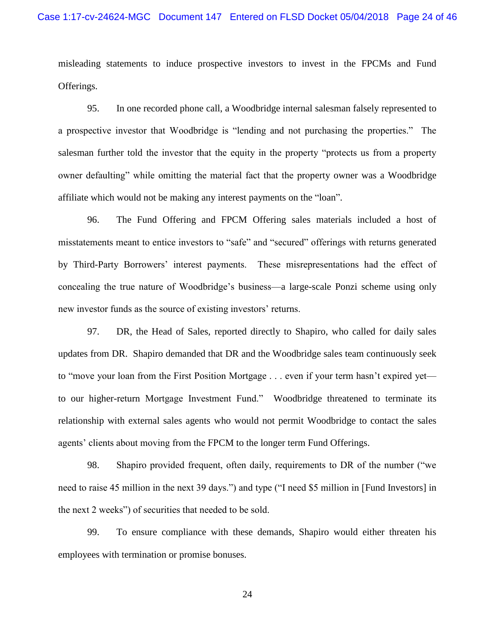misleading statements to induce prospective investors to invest in the FPCMs and Fund Offerings.

95. In one recorded phone call, a Woodbridge internal salesman falsely represented to a prospective investor that Woodbridge is "lending and not purchasing the properties." The salesman further told the investor that the equity in the property "protects us from a property owner defaulting" while omitting the material fact that the property owner was a Woodbridge affiliate which would not be making any interest payments on the "loan".

96. The Fund Offering and FPCM Offering sales materials included a host of misstatements meant to entice investors to "safe" and "secured" offerings with returns generated by Third-Party Borrowers' interest payments. These misrepresentations had the effect of concealing the true nature of Woodbridge's business—a large-scale Ponzi scheme using only new investor funds as the source of existing investors' returns.

97. DR, the Head of Sales, reported directly to Shapiro, who called for daily sales updates from DR. Shapiro demanded that DR and the Woodbridge sales team continuously seek to "move your loan from the First Position Mortgage . . . even if your term hasn't expired yet to our higher-return Mortgage Investment Fund." Woodbridge threatened to terminate its relationship with external sales agents who would not permit Woodbridge to contact the sales agents' clients about moving from the FPCM to the longer term Fund Offerings.

98. Shapiro provided frequent, often daily, requirements to DR of the number ("we need to raise 45 million in the next 39 days.") and type ("I need \$5 million in [Fund Investors] in the next 2 weeks") of securities that needed to be sold.

99. To ensure compliance with these demands, Shapiro would either threaten his employees with termination or promise bonuses.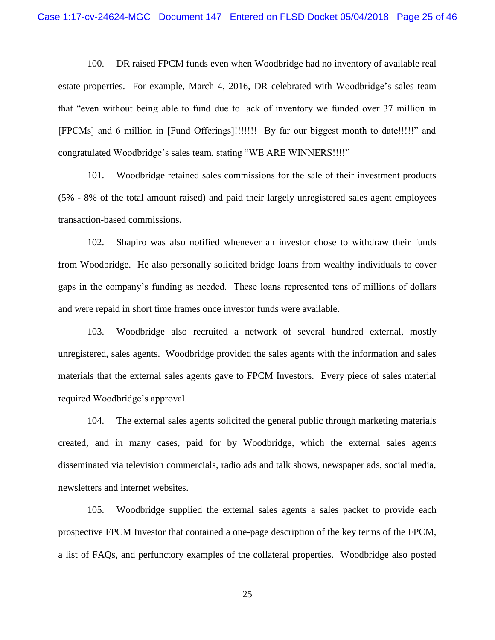100. DR raised FPCM funds even when Woodbridge had no inventory of available real estate properties. For example, March 4, 2016, DR celebrated with Woodbridge's sales team that "even without being able to fund due to lack of inventory we funded over 37 million in [FPCMs] and 6 million in [Fund Offerings]!!!!!!! By far our biggest month to date!!!!!" and congratulated Woodbridge's sales team, stating "WE ARE WINNERS!!!!"

101. Woodbridge retained sales commissions for the sale of their investment products (5% - 8% of the total amount raised) and paid their largely unregistered sales agent employees transaction-based commissions.

102. Shapiro was also notified whenever an investor chose to withdraw their funds from Woodbridge. He also personally solicited bridge loans from wealthy individuals to cover gaps in the company's funding as needed. These loans represented tens of millions of dollars and were repaid in short time frames once investor funds were available.

103. Woodbridge also recruited a network of several hundred external, mostly unregistered, sales agents. Woodbridge provided the sales agents with the information and sales materials that the external sales agents gave to FPCM Investors. Every piece of sales material required Woodbridge's approval.

104. The external sales agents solicited the general public through marketing materials created, and in many cases, paid for by Woodbridge, which the external sales agents disseminated via television commercials, radio ads and talk shows, newspaper ads, social media, newsletters and internet websites.

105. Woodbridge supplied the external sales agents a sales packet to provide each prospective FPCM Investor that contained a one-page description of the key terms of the FPCM, a list of FAQs, and perfunctory examples of the collateral properties. Woodbridge also posted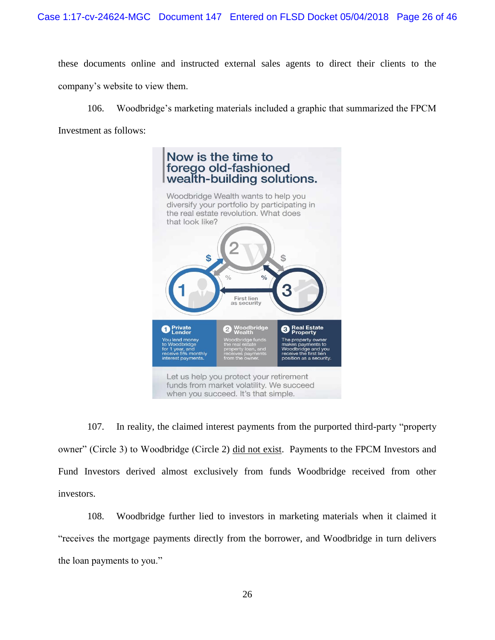these documents online and instructed external sales agents to direct their clients to the company's website to view them.

106. Woodbridge's marketing materials included a graphic that summarized the FPCM Investment as follows:



107. In reality, the claimed interest payments from the purported third-party "property owner" (Circle 3) to Woodbridge (Circle 2) did not exist. Payments to the FPCM Investors and Fund Investors derived almost exclusively from funds Woodbridge received from other investors.

108. Woodbridge further lied to investors in marketing materials when it claimed it "receives the mortgage payments directly from the borrower, and Woodbridge in turn delivers the loan payments to you."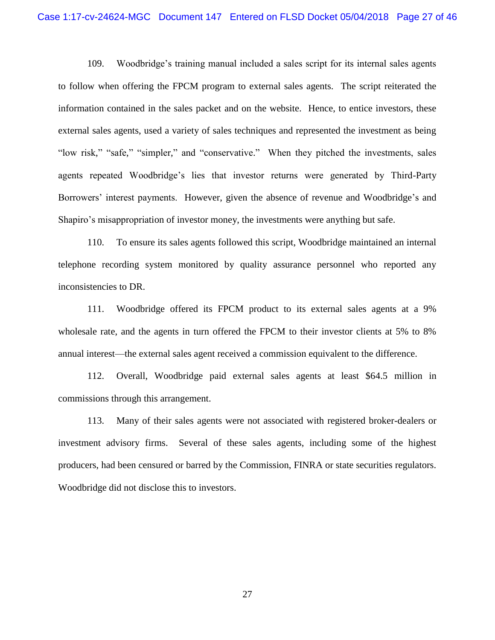109. Woodbridge's training manual included a sales script for its internal sales agents to follow when offering the FPCM program to external sales agents. The script reiterated the information contained in the sales packet and on the website. Hence, to entice investors, these external sales agents, used a variety of sales techniques and represented the investment as being "low risk," "safe," "simpler," and "conservative." When they pitched the investments, sales agents repeated Woodbridge's lies that investor returns were generated by Third-Party Borrowers' interest payments. However, given the absence of revenue and Woodbridge's and Shapiro's misappropriation of investor money, the investments were anything but safe.

110. To ensure its sales agents followed this script, Woodbridge maintained an internal telephone recording system monitored by quality assurance personnel who reported any inconsistencies to DR.

111. Woodbridge offered its FPCM product to its external sales agents at a 9% wholesale rate, and the agents in turn offered the FPCM to their investor clients at 5% to 8% annual interest—the external sales agent received a commission equivalent to the difference.

112. Overall, Woodbridge paid external sales agents at least \$64.5 million in commissions through this arrangement.

113. Many of their sales agents were not associated with registered broker-dealers or investment advisory firms. Several of these sales agents, including some of the highest producers, had been censured or barred by the Commission, FINRA or state securities regulators. Woodbridge did not disclose this to investors.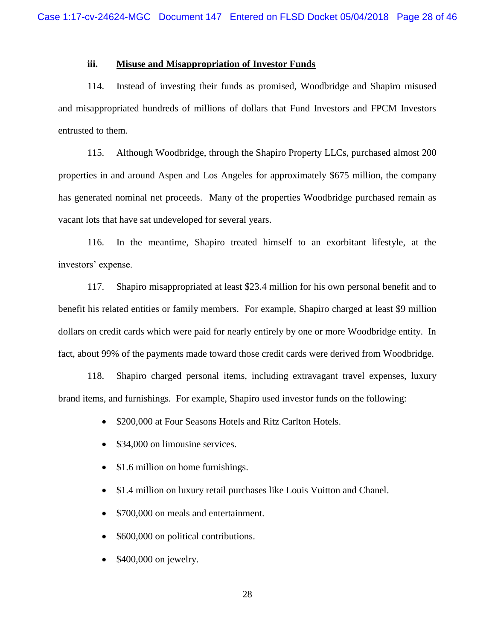## **iii. Misuse and Misappropriation of Investor Funds**

114. Instead of investing their funds as promised, Woodbridge and Shapiro misused and misappropriated hundreds of millions of dollars that Fund Investors and FPCM Investors entrusted to them.

115. Although Woodbridge, through the Shapiro Property LLCs, purchased almost 200 properties in and around Aspen and Los Angeles for approximately \$675 million, the company has generated nominal net proceeds. Many of the properties Woodbridge purchased remain as vacant lots that have sat undeveloped for several years.

116. In the meantime, Shapiro treated himself to an exorbitant lifestyle, at the investors' expense.

117. Shapiro misappropriated at least \$23.4 million for his own personal benefit and to benefit his related entities or family members. For example, Shapiro charged at least \$9 million dollars on credit cards which were paid for nearly entirely by one or more Woodbridge entity. In fact, about 99% of the payments made toward those credit cards were derived from Woodbridge.

118. Shapiro charged personal items, including extravagant travel expenses, luxury brand items, and furnishings. For example, Shapiro used investor funds on the following:

- \$200,000 at Four Seasons Hotels and Ritz Carlton Hotels.
- \$34,000 on limousine services.
- \$1.6 million on home furnishings.
- \$1.4 million on luxury retail purchases like Louis Vuitton and Chanel.
- \$700,000 on meals and entertainment.
- \$600,000 on political contributions.
- \$400,000 on jewelry.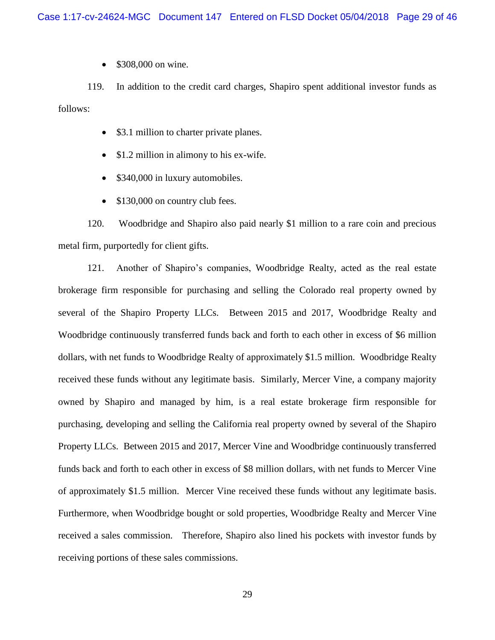• \$308,000 on wine.

119. In addition to the credit card charges, Shapiro spent additional investor funds as follows:

- \$3.1 million to charter private planes.
- \$1.2 million in alimony to his ex-wife.
- \$340,000 in luxury automobiles.
- \$130,000 on country club fees.

120. Woodbridge and Shapiro also paid nearly \$1 million to a rare coin and precious metal firm, purportedly for client gifts.

121. Another of Shapiro's companies, Woodbridge Realty, acted as the real estate brokerage firm responsible for purchasing and selling the Colorado real property owned by several of the Shapiro Property LLCs. Between 2015 and 2017, Woodbridge Realty and Woodbridge continuously transferred funds back and forth to each other in excess of \$6 million dollars, with net funds to Woodbridge Realty of approximately \$1.5 million. Woodbridge Realty received these funds without any legitimate basis. Similarly, Mercer Vine, a company majority owned by Shapiro and managed by him, is a real estate brokerage firm responsible for purchasing, developing and selling the California real property owned by several of the Shapiro Property LLCs. Between 2015 and 2017, Mercer Vine and Woodbridge continuously transferred funds back and forth to each other in excess of \$8 million dollars, with net funds to Mercer Vine of approximately \$1.5 million. Mercer Vine received these funds without any legitimate basis. Furthermore, when Woodbridge bought or sold properties, Woodbridge Realty and Mercer Vine received a sales commission. Therefore, Shapiro also lined his pockets with investor funds by receiving portions of these sales commissions.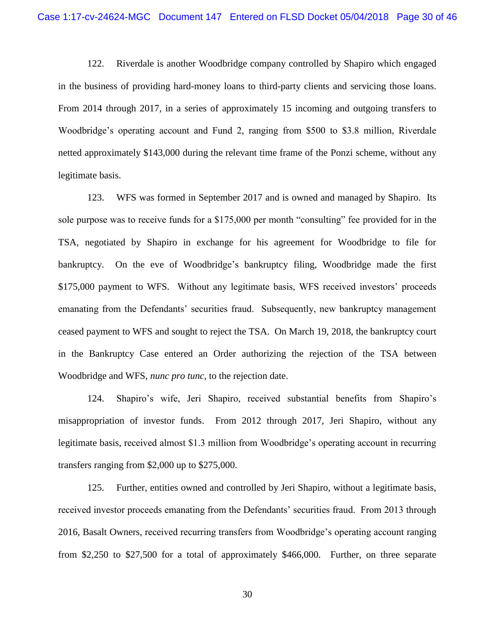122. Riverdale is another Woodbridge company controlled by Shapiro which engaged in the business of providing hard-money loans to third-party clients and servicing those loans. From 2014 through 2017, in a series of approximately 15 incoming and outgoing transfers to Woodbridge's operating account and Fund 2, ranging from \$500 to \$3.8 million, Riverdale netted approximately \$143,000 during the relevant time frame of the Ponzi scheme, without any legitimate basis.

123. WFS was formed in September 2017 and is owned and managed by Shapiro. Its sole purpose was to receive funds for a \$175,000 per month "consulting" fee provided for in the TSA, negotiated by Shapiro in exchange for his agreement for Woodbridge to file for bankruptcy. On the eve of Woodbridge's bankruptcy filing, Woodbridge made the first \$175,000 payment to WFS. Without any legitimate basis, WFS received investors' proceeds emanating from the Defendants' securities fraud. Subsequently, new bankruptcy management ceased payment to WFS and sought to reject the TSA. On March 19, 2018, the bankruptcy court in the Bankruptcy Case entered an Order authorizing the rejection of the TSA between Woodbridge and WFS, *nunc pro tunc,* to the rejection date.

124. Shapiro's wife, Jeri Shapiro, received substantial benefits from Shapiro's misappropriation of investor funds. From 2012 through 2017, Jeri Shapiro, without any legitimate basis, received almost \$1.3 million from Woodbridge's operating account in recurring transfers ranging from \$2,000 up to \$275,000.

125. Further, entities owned and controlled by Jeri Shapiro, without a legitimate basis, received investor proceeds emanating from the Defendants' securities fraud. From 2013 through 2016, Basalt Owners, received recurring transfers from Woodbridge's operating account ranging from \$2,250 to \$27,500 for a total of approximately \$466,000. Further, on three separate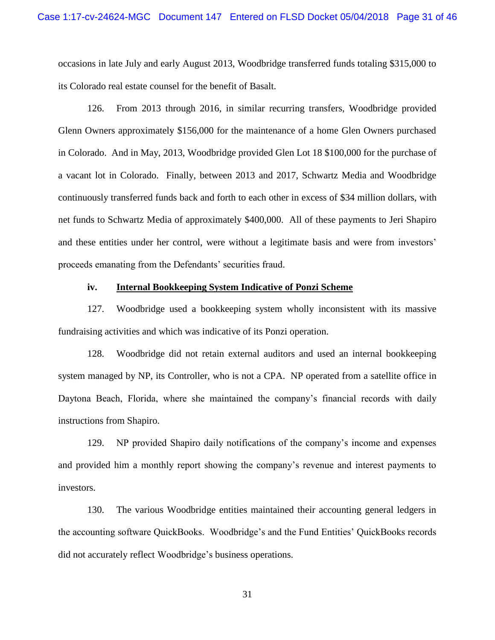occasions in late July and early August 2013, Woodbridge transferred funds totaling \$315,000 to its Colorado real estate counsel for the benefit of Basalt.

126. From 2013 through 2016, in similar recurring transfers, Woodbridge provided Glenn Owners approximately \$156,000 for the maintenance of a home Glen Owners purchased in Colorado. And in May, 2013, Woodbridge provided Glen Lot 18 \$100,000 for the purchase of a vacant lot in Colorado. Finally, between 2013 and 2017, Schwartz Media and Woodbridge continuously transferred funds back and forth to each other in excess of \$34 million dollars, with net funds to Schwartz Media of approximately \$400,000. All of these payments to Jeri Shapiro and these entities under her control, were without a legitimate basis and were from investors' proceeds emanating from the Defendants' securities fraud.

#### **iv. Internal Bookkeeping System Indicative of Ponzi Scheme**

127. Woodbridge used a bookkeeping system wholly inconsistent with its massive fundraising activities and which was indicative of its Ponzi operation.

128. Woodbridge did not retain external auditors and used an internal bookkeeping system managed by NP, its Controller, who is not a CPA. NP operated from a satellite office in Daytona Beach, Florida, where she maintained the company's financial records with daily instructions from Shapiro.

129. NP provided Shapiro daily notifications of the company's income and expenses and provided him a monthly report showing the company's revenue and interest payments to investors.

130. The various Woodbridge entities maintained their accounting general ledgers in the accounting software QuickBooks. Woodbridge's and the Fund Entities' QuickBooks records did not accurately reflect Woodbridge's business operations.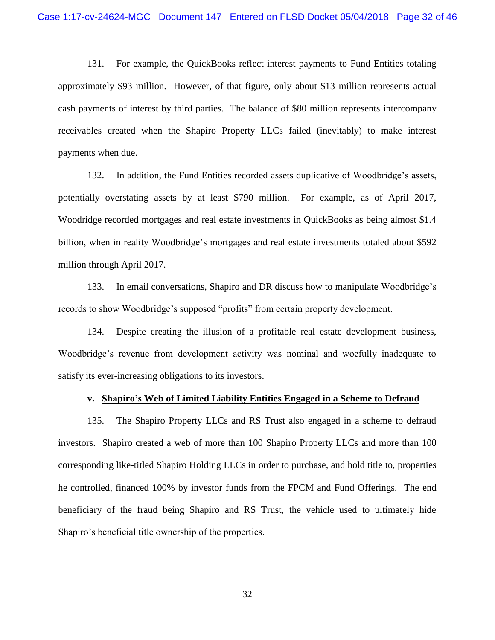131. For example, the QuickBooks reflect interest payments to Fund Entities totaling approximately \$93 million. However, of that figure, only about \$13 million represents actual cash payments of interest by third parties. The balance of \$80 million represents intercompany receivables created when the Shapiro Property LLCs failed (inevitably) to make interest payments when due.

132. In addition, the Fund Entities recorded assets duplicative of Woodbridge's assets, potentially overstating assets by at least \$790 million. For example, as of April 2017, Woodridge recorded mortgages and real estate investments in QuickBooks as being almost \$1.4 billion, when in reality Woodbridge's mortgages and real estate investments totaled about \$592 million through April 2017.

133. In email conversations, Shapiro and DR discuss how to manipulate Woodbridge's records to show Woodbridge's supposed "profits" from certain property development.

134. Despite creating the illusion of a profitable real estate development business, Woodbridge's revenue from development activity was nominal and woefully inadequate to satisfy its ever-increasing obligations to its investors.

#### **v. Shapiro's Web of Limited Liability Entities Engaged in a Scheme to Defraud**

135. The Shapiro Property LLCs and RS Trust also engaged in a scheme to defraud investors. Shapiro created a web of more than 100 Shapiro Property LLCs and more than 100 corresponding like-titled Shapiro Holding LLCs in order to purchase, and hold title to, properties he controlled, financed 100% by investor funds from the FPCM and Fund Offerings. The end beneficiary of the fraud being Shapiro and RS Trust, the vehicle used to ultimately hide Shapiro's beneficial title ownership of the properties.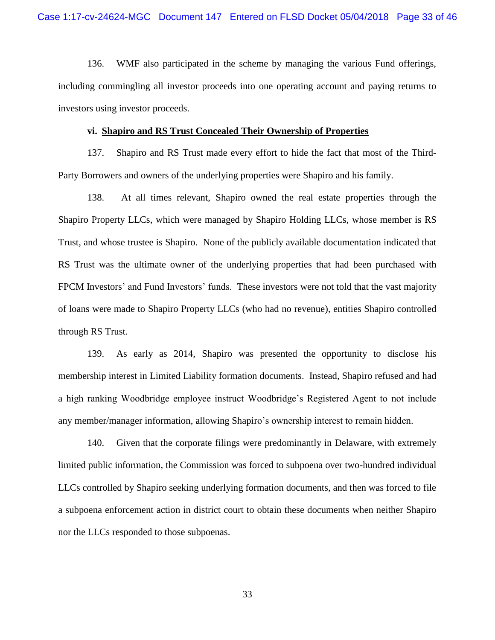136. WMF also participated in the scheme by managing the various Fund offerings, including commingling all investor proceeds into one operating account and paying returns to investors using investor proceeds.

#### **vi. Shapiro and RS Trust Concealed Their Ownership of Properties**

137. Shapiro and RS Trust made every effort to hide the fact that most of the Third-Party Borrowers and owners of the underlying properties were Shapiro and his family.

138. At all times relevant, Shapiro owned the real estate properties through the Shapiro Property LLCs, which were managed by Shapiro Holding LLCs, whose member is RS Trust, and whose trustee is Shapiro. None of the publicly available documentation indicated that RS Trust was the ultimate owner of the underlying properties that had been purchased with FPCM Investors' and Fund Investors' funds. These investors were not told that the vast majority of loans were made to Shapiro Property LLCs (who had no revenue), entities Shapiro controlled through RS Trust.

139. As early as 2014, Shapiro was presented the opportunity to disclose his membership interest in Limited Liability formation documents. Instead, Shapiro refused and had a high ranking Woodbridge employee instruct Woodbridge's Registered Agent to not include any member/manager information, allowing Shapiro's ownership interest to remain hidden.

140. Given that the corporate filings were predominantly in Delaware, with extremely limited public information, the Commission was forced to subpoena over two-hundred individual LLCs controlled by Shapiro seeking underlying formation documents, and then was forced to file a subpoena enforcement action in district court to obtain these documents when neither Shapiro nor the LLCs responded to those subpoenas.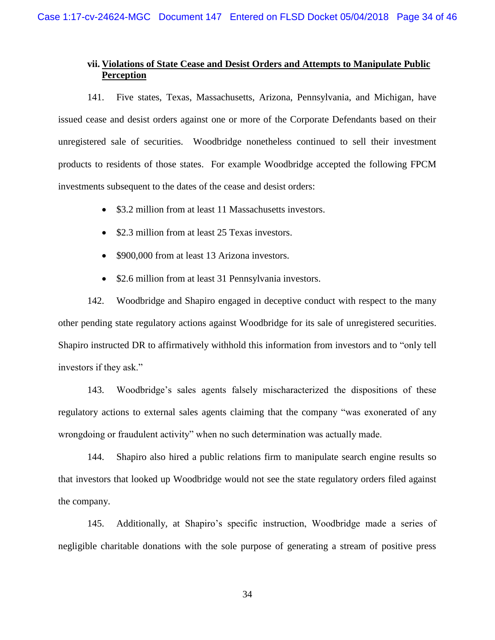# **vii. Violations of State Cease and Desist Orders and Attempts to Manipulate Public Perception**

141. Five states, Texas, Massachusetts, Arizona, Pennsylvania, and Michigan, have issued cease and desist orders against one or more of the Corporate Defendants based on their unregistered sale of securities. Woodbridge nonetheless continued to sell their investment products to residents of those states. For example Woodbridge accepted the following FPCM investments subsequent to the dates of the cease and desist orders:

- \$3.2 million from at least 11 Massachusetts investors.
- \$2.3 million from at least 25 Texas investors.
- \$900,000 from at least 13 Arizona investors.
- \$2.6 million from at least 31 Pennsylvania investors.

142. Woodbridge and Shapiro engaged in deceptive conduct with respect to the many other pending state regulatory actions against Woodbridge for its sale of unregistered securities. Shapiro instructed DR to affirmatively withhold this information from investors and to "only tell investors if they ask."

143. Woodbridge's sales agents falsely mischaracterized the dispositions of these regulatory actions to external sales agents claiming that the company "was exonerated of any wrongdoing or fraudulent activity" when no such determination was actually made.

144. Shapiro also hired a public relations firm to manipulate search engine results so that investors that looked up Woodbridge would not see the state regulatory orders filed against the company.

145. Additionally, at Shapiro's specific instruction, Woodbridge made a series of negligible charitable donations with the sole purpose of generating a stream of positive press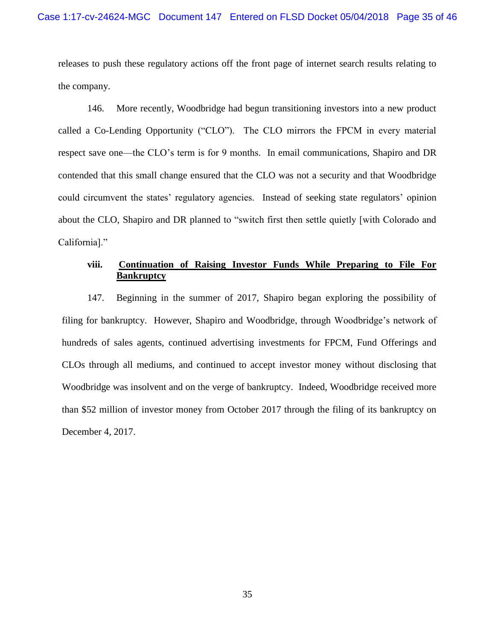releases to push these regulatory actions off the front page of internet search results relating to the company.

146. More recently, Woodbridge had begun transitioning investors into a new product called a Co-Lending Opportunity ("CLO"). The CLO mirrors the FPCM in every material respect save one—the CLO's term is for 9 months. In email communications, Shapiro and DR contended that this small change ensured that the CLO was not a security and that Woodbridge could circumvent the states' regulatory agencies. Instead of seeking state regulators' opinion about the CLO, Shapiro and DR planned to "switch first then settle quietly [with Colorado and California]."

## **viii. Continuation of Raising Investor Funds While Preparing to File For Bankruptcy**

147. Beginning in the summer of 2017, Shapiro began exploring the possibility of filing for bankruptcy. However, Shapiro and Woodbridge, through Woodbridge's network of hundreds of sales agents, continued advertising investments for FPCM, Fund Offerings and CLOs through all mediums, and continued to accept investor money without disclosing that Woodbridge was insolvent and on the verge of bankruptcy. Indeed, Woodbridge received more than \$52 million of investor money from October 2017 through the filing of its bankruptcy on December 4, 2017.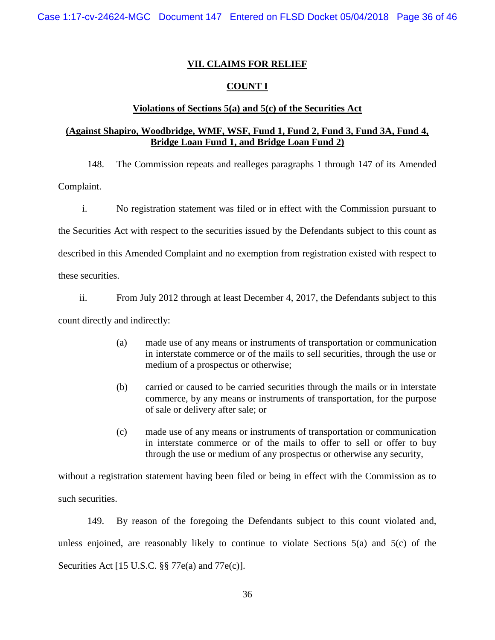## **VII. CLAIMS FOR RELIEF**

## **COUNT I**

## **Violations of Sections 5(a) and 5(c) of the Securities Act**

# **(Against Shapiro, Woodbridge, WMF, WSF, Fund 1, Fund 2, Fund 3, Fund 3A, Fund 4, Bridge Loan Fund 1, and Bridge Loan Fund 2)**

148. The Commission repeats and realleges paragraphs 1 through 147 of its Amended Complaint.

i. No registration statement was filed or in effect with the Commission pursuant to the Securities Act with respect to the securities issued by the Defendants subject to this count as described in this Amended Complaint and no exemption from registration existed with respect to these securities.

ii. From July 2012 through at least December 4, 2017, the Defendants subject to this count directly and indirectly:

- (a) made use of any means or instruments of transportation or communication in interstate commerce or of the mails to sell securities, through the use or medium of a prospectus or otherwise;
- (b) carried or caused to be carried securities through the mails or in interstate commerce, by any means or instruments of transportation, for the purpose of sale or delivery after sale; or
- (c) made use of any means or instruments of transportation or communication in interstate commerce or of the mails to offer to sell or offer to buy through the use or medium of any prospectus or otherwise any security,

without a registration statement having been filed or being in effect with the Commission as to such securities.

149. By reason of the foregoing the Defendants subject to this count violated and, unless enjoined, are reasonably likely to continue to violate Sections 5(a) and 5(c) of the Securities Act [15 U.S.C. §§ 77e(a) and 77e(c)].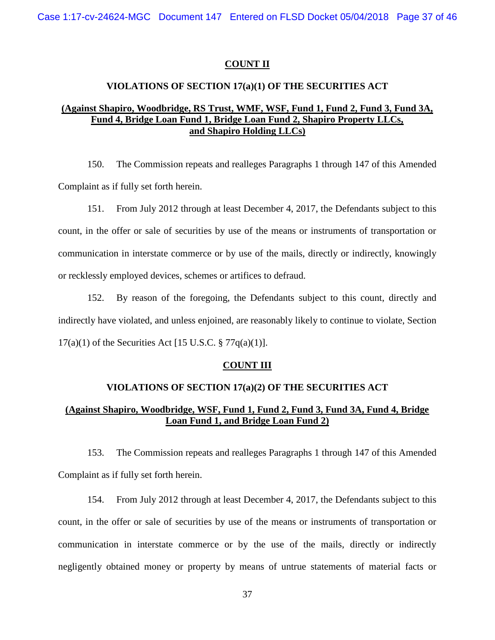#### **COUNT II**

#### **VIOLATIONS OF SECTION 17(a)(1) OF THE SECURITIES ACT**

# **(Against Shapiro, Woodbridge, RS Trust, WMF, WSF, Fund 1, Fund 2, Fund 3, Fund 3A, Fund 4, Bridge Loan Fund 1, Bridge Loan Fund 2, Shapiro Property LLCs, and Shapiro Holding LLCs)**

150. The Commission repeats and realleges Paragraphs 1 through 147 of this Amended Complaint as if fully set forth herein.

151. From July 2012 through at least December 4, 2017, the Defendants subject to this count, in the offer or sale of securities by use of the means or instruments of transportation or communication in interstate commerce or by use of the mails, directly or indirectly, knowingly or recklessly employed devices, schemes or artifices to defraud.

152. By reason of the foregoing, the Defendants subject to this count, directly and indirectly have violated, and unless enjoined, are reasonably likely to continue to violate, Section  $17(a)(1)$  of the Securities Act [15 U.S.C. § 77q(a)(1)].

#### **COUNT III**

#### **VIOLATIONS OF SECTION 17(a)(2) OF THE SECURITIES ACT**

# **(Against Shapiro, Woodbridge, WSF, Fund 1, Fund 2, Fund 3, Fund 3A, Fund 4, Bridge Loan Fund 1, and Bridge Loan Fund 2)**

153. The Commission repeats and realleges Paragraphs 1 through 147 of this Amended Complaint as if fully set forth herein.

154. From July 2012 through at least December 4, 2017, the Defendants subject to this count, in the offer or sale of securities by use of the means or instruments of transportation or communication in interstate commerce or by the use of the mails, directly or indirectly negligently obtained money or property by means of untrue statements of material facts or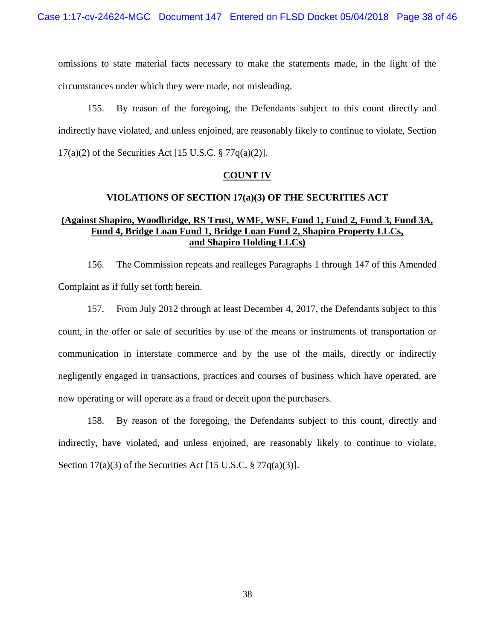omissions to state material facts necessary to make the statements made, in the light of the circumstances under which they were made, not misleading.

155. By reason of the foregoing, the Defendants subject to this count directly and indirectly have violated, and unless enjoined, are reasonably likely to continue to violate, Section  $17(a)(2)$  of the Securities Act [15 U.S.C. § 77 $q(a)(2)$ ].

#### **COUNT IV**

### **VIOLATIONS OF SECTION 17(a)(3) OF THE SECURITIES ACT**

# **(Against Shapiro, Woodbridge, RS Trust, WMF, WSF, Fund 1, Fund 2, Fund 3, Fund 3A, Fund 4, Bridge Loan Fund 1, Bridge Loan Fund 2, Shapiro Property LLCs, and Shapiro Holding LLCs)**

156. The Commission repeats and realleges Paragraphs 1 through 147 of this Amended Complaint as if fully set forth herein.

157. From July 2012 through at least December 4, 2017, the Defendants subject to this count, in the offer or sale of securities by use of the means or instruments of transportation or communication in interstate commerce and by the use of the mails, directly or indirectly negligently engaged in transactions, practices and courses of business which have operated, are now operating or will operate as a fraud or deceit upon the purchasers.

158. By reason of the foregoing, the Defendants subject to this count, directly and indirectly, have violated, and unless enjoined, are reasonably likely to continue to violate, Section 17(a)(3) of the Securities Act [15 U.S.C. § 77q(a)(3)].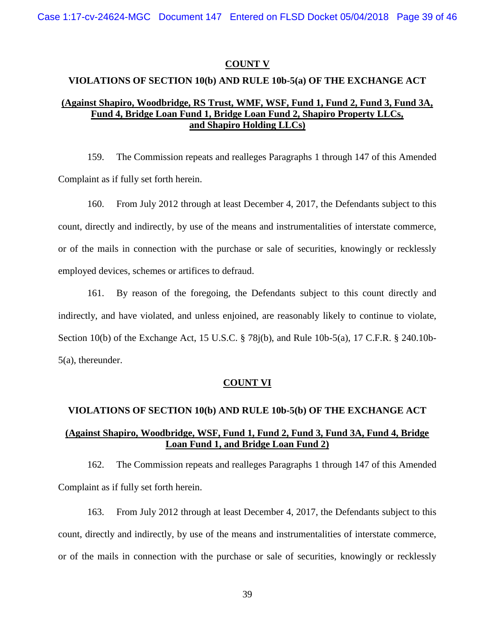Case 1:17-cv-24624-MGC Document 147 Entered on FLSD Docket 05/04/2018 Page 39 of 46

#### **COUNT V**

# **VIOLATIONS OF SECTION 10(b) AND RULE 10b-5(a) OF THE EXCHANGE ACT**

# **(Against Shapiro, Woodbridge, RS Trust, WMF, WSF, Fund 1, Fund 2, Fund 3, Fund 3A, Fund 4, Bridge Loan Fund 1, Bridge Loan Fund 2, Shapiro Property LLCs, and Shapiro Holding LLCs)**

159. The Commission repeats and realleges Paragraphs 1 through 147 of this Amended Complaint as if fully set forth herein.

160. From July 2012 through at least December 4, 2017, the Defendants subject to this count, directly and indirectly, by use of the means and instrumentalities of interstate commerce, or of the mails in connection with the purchase or sale of securities, knowingly or recklessly employed devices, schemes or artifices to defraud.

161. By reason of the foregoing, the Defendants subject to this count directly and indirectly, and have violated, and unless enjoined, are reasonably likely to continue to violate, Section 10(b) of the Exchange Act, 15 U.S.C. § 78j(b), and Rule 10b-5(a), 17 C.F.R. § 240.10b-5(a), thereunder.

#### **COUNT VI**

# **VIOLATIONS OF SECTION 10(b) AND RULE 10b-5(b) OF THE EXCHANGE ACT (Against Shapiro, Woodbridge, WSF, Fund 1, Fund 2, Fund 3, Fund 3A, Fund 4, Bridge Loan Fund 1, and Bridge Loan Fund 2)**

162. The Commission repeats and realleges Paragraphs 1 through 147 of this Amended Complaint as if fully set forth herein.

163. From July 2012 through at least December 4, 2017, the Defendants subject to this count, directly and indirectly, by use of the means and instrumentalities of interstate commerce, or of the mails in connection with the purchase or sale of securities, knowingly or recklessly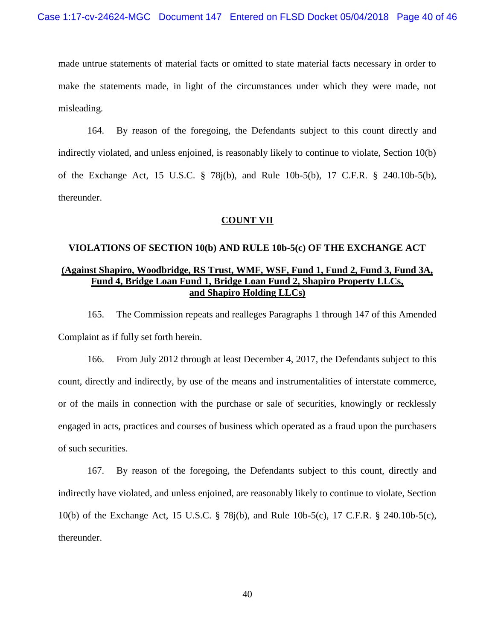made untrue statements of material facts or omitted to state material facts necessary in order to make the statements made, in light of the circumstances under which they were made, not misleading.

164. By reason of the foregoing, the Defendants subject to this count directly and indirectly violated, and unless enjoined, is reasonably likely to continue to violate, Section 10(b) of the Exchange Act, 15 U.S.C. § 78j(b), and Rule 10b-5(b), 17 C.F.R. § 240.10b-5(b), thereunder.

#### **COUNT VII**

# **VIOLATIONS OF SECTION 10(b) AND RULE 10b-5(c) OF THE EXCHANGE ACT (Against Shapiro, Woodbridge, RS Trust, WMF, WSF, Fund 1, Fund 2, Fund 3, Fund 3A, Fund 4, Bridge Loan Fund 1, Bridge Loan Fund 2, Shapiro Property LLCs, and Shapiro Holding LLCs)**

165. The Commission repeats and realleges Paragraphs 1 through 147 of this Amended Complaint as if fully set forth herein.

166. From July 2012 through at least December 4, 2017, the Defendants subject to this count, directly and indirectly, by use of the means and instrumentalities of interstate commerce, or of the mails in connection with the purchase or sale of securities, knowingly or recklessly engaged in acts, practices and courses of business which operated as a fraud upon the purchasers of such securities.

167. By reason of the foregoing, the Defendants subject to this count, directly and indirectly have violated, and unless enjoined, are reasonably likely to continue to violate, Section 10(b) of the Exchange Act, 15 U.S.C. § 78j(b), and Rule 10b-5(c), 17 C.F.R. § 240.10b-5(c), thereunder.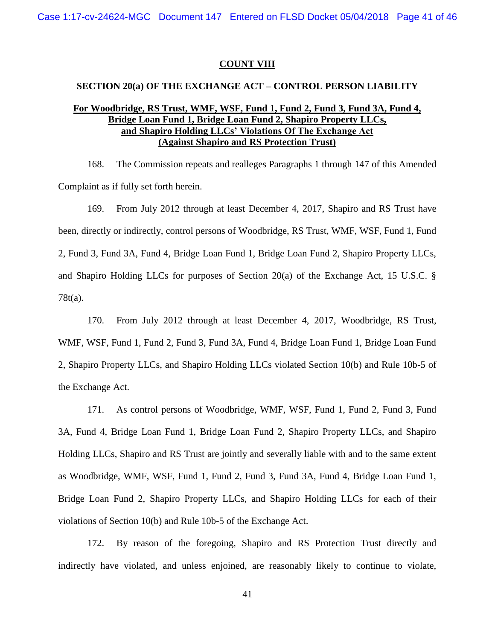### **COUNT VIII**

#### **SECTION 20(a) OF THE EXCHANGE ACT – CONTROL PERSON LIABILITY**

# **For Woodbridge, RS Trust, WMF, WSF, Fund 1, Fund 2, Fund 3, Fund 3A, Fund 4, Bridge Loan Fund 1, Bridge Loan Fund 2, Shapiro Property LLCs, and Shapiro Holding LLCs' Violations Of The Exchange Act (Against Shapiro and RS Protection Trust)**

168. The Commission repeats and realleges Paragraphs 1 through 147 of this Amended Complaint as if fully set forth herein.

169. From July 2012 through at least December 4, 2017, Shapiro and RS Trust have been, directly or indirectly, control persons of Woodbridge, RS Trust, WMF, WSF, Fund 1, Fund 2, Fund 3, Fund 3A, Fund 4, Bridge Loan Fund 1, Bridge Loan Fund 2, Shapiro Property LLCs, and Shapiro Holding LLCs for purposes of Section 20(a) of the Exchange Act, 15 U.S.C. § 78t(a).

170. From July 2012 through at least December 4, 2017, Woodbridge, RS Trust, WMF, WSF, Fund 1, Fund 2, Fund 3, Fund 3A, Fund 4, Bridge Loan Fund 1, Bridge Loan Fund 2, Shapiro Property LLCs, and Shapiro Holding LLCs violated Section 10(b) and Rule 10b-5 of the Exchange Act.

171. As control persons of Woodbridge, WMF, WSF, Fund 1, Fund 2, Fund 3, Fund 3A, Fund 4, Bridge Loan Fund 1, Bridge Loan Fund 2, Shapiro Property LLCs, and Shapiro Holding LLCs, Shapiro and RS Trust are jointly and severally liable with and to the same extent as Woodbridge, WMF, WSF, Fund 1, Fund 2, Fund 3, Fund 3A, Fund 4, Bridge Loan Fund 1, Bridge Loan Fund 2, Shapiro Property LLCs, and Shapiro Holding LLCs for each of their violations of Section 10(b) and Rule 10b-5 of the Exchange Act.

172. By reason of the foregoing, Shapiro and RS Protection Trust directly and indirectly have violated, and unless enjoined, are reasonably likely to continue to violate,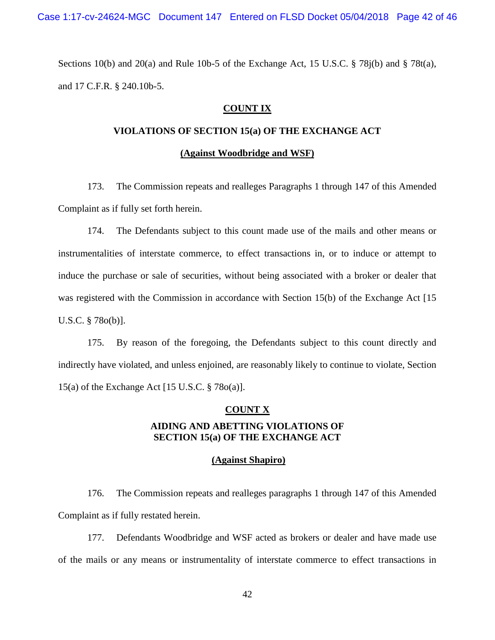Case 1:17-cv-24624-MGC Document 147 Entered on FLSD Docket 05/04/2018 Page 42 of 46

Sections 10(b) and 20(a) and Rule 10b-5 of the Exchange Act, 15 U.S.C.  $\S$  78 $i$ (b) and  $\S$  78 $t$ (a), and 17 C.F.R. § 240.10b-5.

## **COUNT IX**

# **VIOLATIONS OF SECTION 15(a) OF THE EXCHANGE ACT**

#### **(Against Woodbridge and WSF)**

173. The Commission repeats and realleges Paragraphs 1 through 147 of this Amended Complaint as if fully set forth herein.

174. The Defendants subject to this count made use of the mails and other means or instrumentalities of interstate commerce, to effect transactions in, or to induce or attempt to induce the purchase or sale of securities, without being associated with a broker or dealer that was registered with the Commission in accordance with Section 15(b) of the Exchange Act [15] U.S.C. § 78o(b)].

175. By reason of the foregoing, the Defendants subject to this count directly and indirectly have violated, and unless enjoined, are reasonably likely to continue to violate, Section 15(a) of the Exchange Act [15 U.S.C. § 78o(a)].

## **COUNT X**

# **AIDING AND ABETTING VIOLATIONS OF SECTION 15(a) OF THE EXCHANGE ACT**

### **(Against Shapiro)**

176. The Commission repeats and realleges paragraphs 1 through 147 of this Amended Complaint as if fully restated herein.

177. Defendants Woodbridge and WSF acted as brokers or dealer and have made use of the mails or any means or instrumentality of interstate commerce to effect transactions in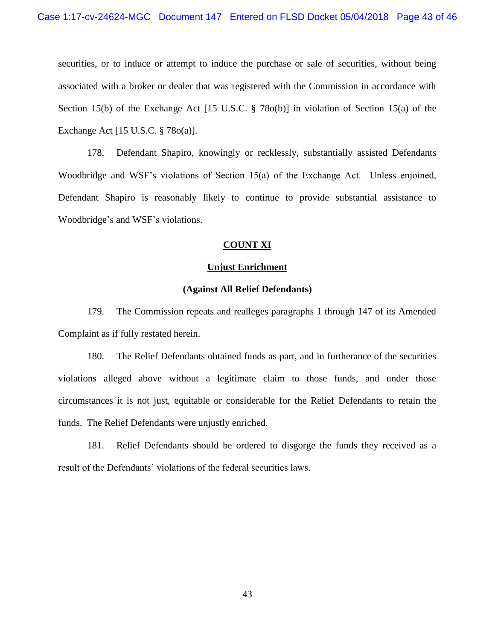securities, or to induce or attempt to induce the purchase or sale of securities, without being associated with a broker or dealer that was registered with the Commission in accordance with Section 15(b) of the Exchange Act [15 U.S.C. § 78o(b)] in violation of Section 15(a) of the Exchange Act [15 U.S.C. § 78o(a)].

178. Defendant Shapiro, knowingly or recklessly, substantially assisted Defendants Woodbridge and WSF's violations of Section 15(a) of the Exchange Act. Unless enjoined, Defendant Shapiro is reasonably likely to continue to provide substantial assistance to Woodbridge's and WSF's violations.

#### **COUNT XI**

#### **Unjust Enrichment**

#### **(Against All Relief Defendants)**

179. The Commission repeats and realleges paragraphs 1 through 147 of its Amended Complaint as if fully restated herein.

180. The Relief Defendants obtained funds as part, and in furtherance of the securities violations alleged above without a legitimate claim to those funds, and under those circumstances it is not just, equitable or considerable for the Relief Defendants to retain the funds. The Relief Defendants were unjustly enriched.

181. Relief Defendants should be ordered to disgorge the funds they received as a result of the Defendants' violations of the federal securities laws.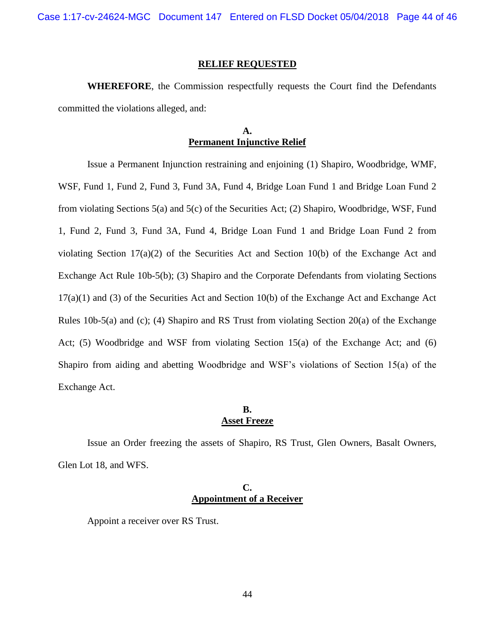Case 1:17-cv-24624-MGC Document 147 Entered on FLSD Docket 05/04/2018 Page 44 of 46

#### **RELIEF REQUESTED**

**WHEREFORE**, the Commission respectfully requests the Court find the Defendants committed the violations alleged, and:

# **A. Permanent Injunctive Relief**

Issue a Permanent Injunction restraining and enjoining (1) Shapiro, Woodbridge, WMF, WSF, Fund 1, Fund 2, Fund 3, Fund 3A, Fund 4, Bridge Loan Fund 1 and Bridge Loan Fund 2 from violating Sections 5(a) and 5(c) of the Securities Act; (2) Shapiro, Woodbridge, WSF, Fund 1, Fund 2, Fund 3, Fund 3A, Fund 4, Bridge Loan Fund 1 and Bridge Loan Fund 2 from violating Section 17(a)(2) of the Securities Act and Section 10(b) of the Exchange Act and Exchange Act Rule 10b-5(b); (3) Shapiro and the Corporate Defendants from violating Sections 17(a)(1) and (3) of the Securities Act and Section 10(b) of the Exchange Act and Exchange Act Rules 10b-5(a) and (c); (4) Shapiro and RS Trust from violating Section 20(a) of the Exchange Act; (5) Woodbridge and WSF from violating Section 15(a) of the Exchange Act; and (6) Shapiro from aiding and abetting Woodbridge and WSF's violations of Section 15(a) of the Exchange Act.

## **B. Asset Freeze**

Issue an Order freezing the assets of Shapiro, RS Trust, Glen Owners, Basalt Owners, Glen Lot 18, and WFS.

## **C. Appointment of a Receiver**

Appoint a receiver over RS Trust.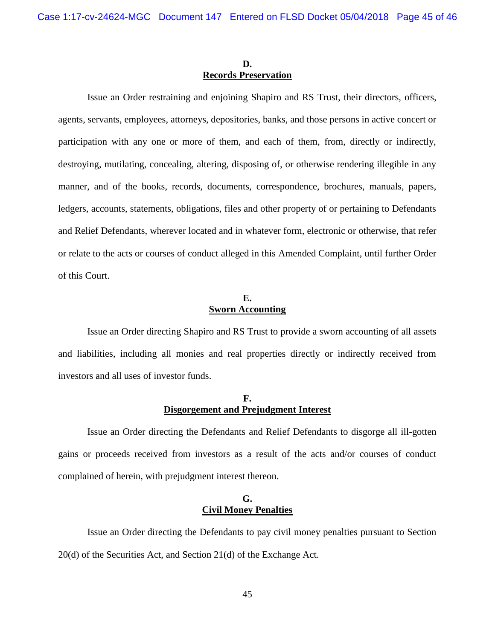## **D. Records Preservation**

Issue an Order restraining and enjoining Shapiro and RS Trust, their directors, officers, agents, servants, employees, attorneys, depositories, banks, and those persons in active concert or participation with any one or more of them, and each of them, from, directly or indirectly, destroying, mutilating, concealing, altering, disposing of, or otherwise rendering illegible in any manner, and of the books, records, documents, correspondence, brochures, manuals, papers, ledgers, accounts, statements, obligations, files and other property of or pertaining to Defendants and Relief Defendants, wherever located and in whatever form, electronic or otherwise, that refer or relate to the acts or courses of conduct alleged in this Amended Complaint, until further Order of this Court.

# **E. Sworn Accounting**

Issue an Order directing Shapiro and RS Trust to provide a sworn accounting of all assets and liabilities, including all monies and real properties directly or indirectly received from investors and all uses of investor funds.

# **F. Disgorgement and Prejudgment Interest**

Issue an Order directing the Defendants and Relief Defendants to disgorge all ill-gotten gains or proceeds received from investors as a result of the acts and/or courses of conduct complained of herein, with prejudgment interest thereon.

# **G. Civil Money Penalties**

Issue an Order directing the Defendants to pay civil money penalties pursuant to Section 20(d) of the Securities Act, and Section 21(d) of the Exchange Act.